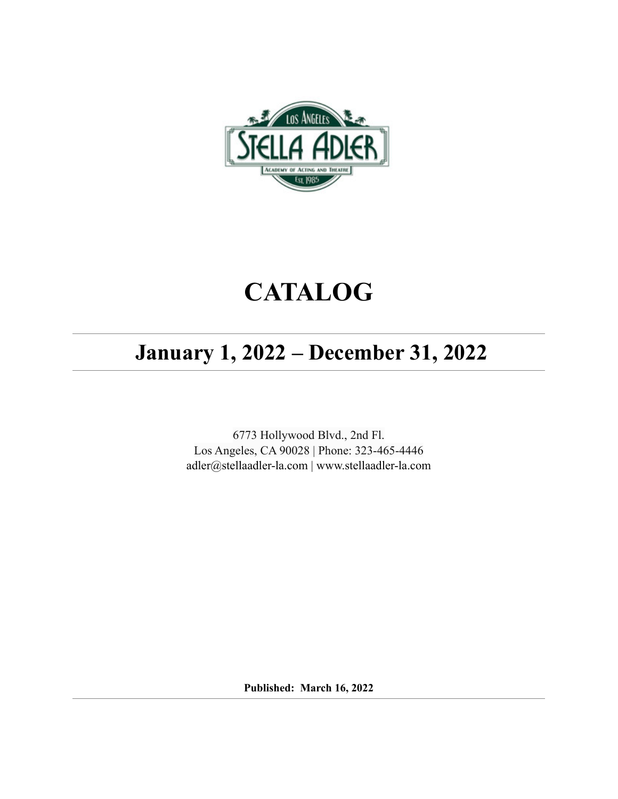

# **CATALOG**

## **January 1, 2022 – December 31, 2022**

6773 Hollywood Blvd., 2nd Fl. Los Angeles, CA 90028 | Phone: 323-465-4446 [adler@stellaadler-la.com](mailto:adler@stellaadler-la.com) | www.stellaadler-la.com

**Published: March 16, 2022**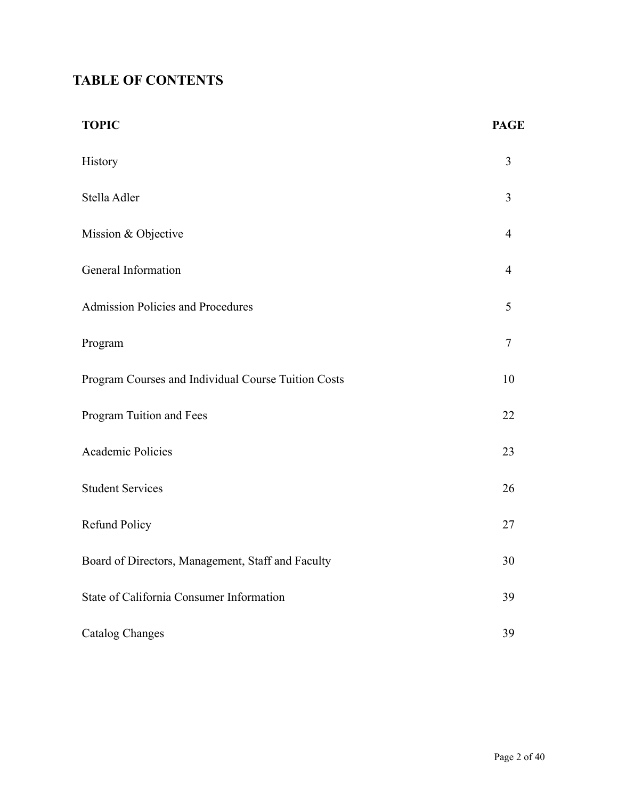## **TABLE OF CONTENTS**

| <b>TOPIC</b>                                        | <b>PAGE</b> |
|-----------------------------------------------------|-------------|
| History                                             | 3           |
| Stella Adler                                        | 3           |
| Mission & Objective                                 | 4           |
| General Information                                 | 4           |
| Admission Policies and Procedures                   | 5           |
| Program                                             | $\tau$      |
| Program Courses and Individual Course Tuition Costs | 10          |
| Program Tuition and Fees                            | 22          |
| Academic Policies                                   | 23          |
| <b>Student Services</b>                             | 26          |
| Refund Policy                                       | 27          |
| Board of Directors, Management, Staff and Faculty   | 30          |
| State of California Consumer Information            | 39          |
| <b>Catalog Changes</b>                              | 39          |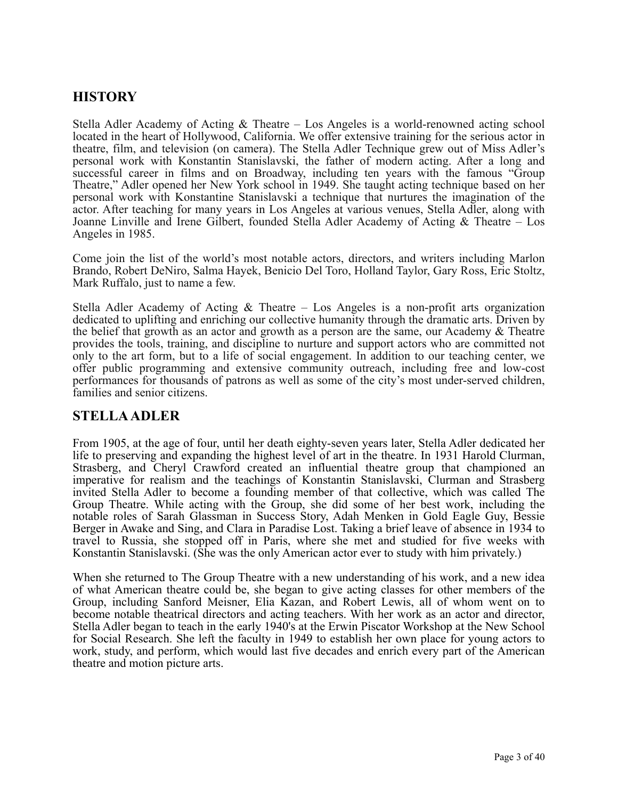## **HISTORY**

Stella Adler Academy of Acting  $\&$  Theatre – Los Angeles is a world-renowned acting school located in the heart of Hollywood, California. We offer extensive training for the serious actor in theatre, film, and television (on camera). The Stella Adler Technique grew out of Miss Adler's personal work with Konstantin Stanislavski, the father of modern acting. After a long and successful career in films and on Broadway, including ten years with the famous "Group Theatre," Adler opened her New York school in 1949. She taught acting technique based on her personal work with Konstantine Stanislavski a technique that nurtures the imagination of the actor. After teaching for many years in Los Angeles at various venues, Stella Adler, along with Joanne Linville and Irene Gilbert, founded Stella Adler Academy of Acting & Theatre – Los Angeles in 1985.

Come join the list of the world's most notable actors, directors, and writers including Marlon Brando, Robert DeNiro, Salma Hayek, Benicio Del Toro, Holland Taylor, Gary Ross, Eric Stoltz, Mark Ruffalo, just to name a few.

Stella Adler Academy of Acting & Theatre – Los Angeles is a non-profit arts organization dedicated to uplifting and enriching our collective humanity through the dramatic arts. Driven by the belief that growth as an actor and growth as a person are the same, our Academy & Theatre provides the tools, training, and discipline to nurture and support actors who are committed not only to the art form, but to a life of social engagement. In addition to our teaching center, we offer public programming and extensive community outreach, including free and low-cost performances for thousands of patrons as well as some of the city's most under-served children, families and senior citizens.

#### **STELLA ADLER**

From 1905, at the age of four, until her death eighty-seven years later, Stella Adler dedicated her life to preserving and expanding the highest level of art in the theatre. In 1931 Harold Clurman, Strasberg, and Cheryl Crawford created an influential theatre group that championed an imperative for realism and the teachings of Konstantin Stanislavski, Clurman and Strasberg invited Stella Adler to become a founding member of that collective, which was called The Group Theatre. While acting with the Group, she did some of her best work, including the notable roles of Sarah Glassman in Success Story, Adah Menken in Gold Eagle Guy, Bessie Berger in Awake and Sing, and Clara in Paradise Lost. Taking a brief leave of absence in 1934 to travel to Russia, she stopped off in Paris, where she met and studied for five weeks with Konstantin Stanislavski. (She was the only American actor ever to study with him privately.)

When she returned to The Group Theatre with a new understanding of his work, and a new idea of what American theatre could be, she began to give acting classes for other members of the Group, including Sanford Meisner, Elia Kazan, and Robert Lewis, all of whom went on to become notable theatrical directors and acting teachers. With her work as an actor and director, Stella Adler began to teach in the early 1940's at the Erwin Piscator Workshop at the New School for Social Research. She left the faculty in 1949 to establish her own place for young actors to work, study, and perform, which would last five decades and enrich every part of the American theatre and motion picture arts.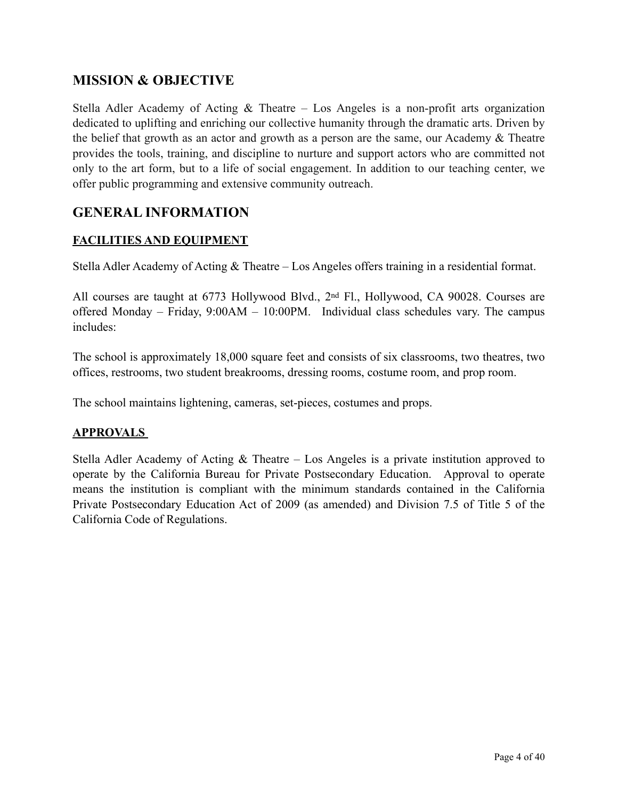## **MISSION & OBJECTIVE**

Stella Adler Academy of Acting  $\&$  Theatre – Los Angeles is a non-profit arts organization dedicated to uplifting and enriching our collective humanity through the dramatic arts. Driven by the belief that growth as an actor and growth as a person are the same, our Academy & Theatre provides the tools, training, and discipline to nurture and support actors who are committed not only to the art form, but to a life of social engagement. In addition to our teaching center, we offer public programming and extensive community outreach.

## **GENERAL INFORMATION**

#### **FACILITIES AND EQUIPMENT**

Stella Adler Academy of Acting & Theatre – Los Angeles offers training in a residential format.

All courses are taught at 6773 Hollywood Blvd., 2<sup>nd</sup> Fl., Hollywood, CA 90028. Courses are offered Monday – Friday, 9:00AM – 10:00PM. Individual class schedules vary. The campus includes:

The school is approximately 18,000 square feet and consists of six classrooms, two theatres, two offices, restrooms, two student breakrooms, dressing rooms, costume room, and prop room.

The school maintains lightening, cameras, set-pieces, costumes and props.

#### **APPROVALS**

Stella Adler Academy of Acting & Theatre – Los Angeles is a private institution approved to operate by the California Bureau for Private Postsecondary Education. Approval to operate means the institution is compliant with the minimum standards contained in the California Private Postsecondary Education Act of 2009 (as amended) and Division 7.5 of Title 5 of the California Code of Regulations.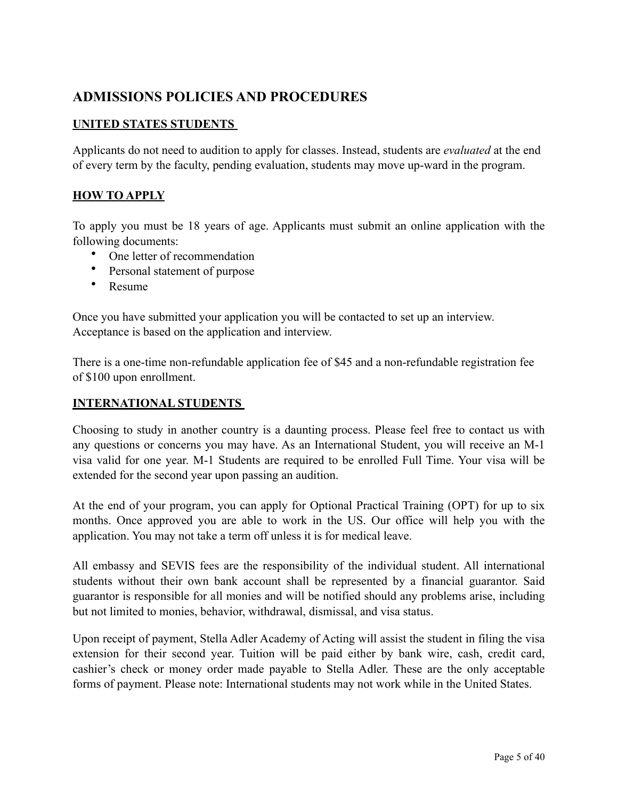## **ADMISSIONS POLICIES AND PROCEDURES**

#### **UNITED STATES STUDENTS**

Applicants do not need to audition to apply for classes. Instead, students are *evaluated* at the end of every term by the faculty, pending evaluation, students may move up-ward in the program.

#### **HOW TO APPLY**

To apply you must be 18 years of age. Applicants must submit an online application with the following documents:

- One letter of recommendation
- Personal statement of purpose
- Resume

Once you have submitted your application you will be contacted to set up an interview. Acceptance is based on the application and interview.

There is a one-time non-refundable application fee of \$45 and a non-refundable registration fee of \$100 upon enrollment.

#### **INTERNATIONAL STUDENTS**

Choosing to study in another country is a daunting process. Please feel free to contact us with any questions or concerns you may have. As an International Student, you will receive an M-1 visa valid for one year. M-1 Students are required to be enrolled Full Time. Your visa will be extended for the second year upon passing an audition.

At the end of your program, you can apply for Optional Practical Training (OPT) for up to six months. Once approved you are able to work in the US. Our office will help you with the application. You may not take a term off unless it is for medical leave.

All embassy and SEVIS fees are the responsibility of the individual student. All international students without their own bank account shall be represented by a financial guarantor. Said guarantor is responsible for all monies and will be notified should any problems arise, including but not limited to monies, behavior, withdrawal, dismissal, and visa status.

Upon receipt of payment, Stella Adler Academy of Acting will assist the student in filing the visa extension for their second year. Tuition will be paid either by bank wire, cash, credit card, cashier's check or money order made payable to Stella Adler. These are the only acceptable forms of payment. Please note: International students may not work while in the United States.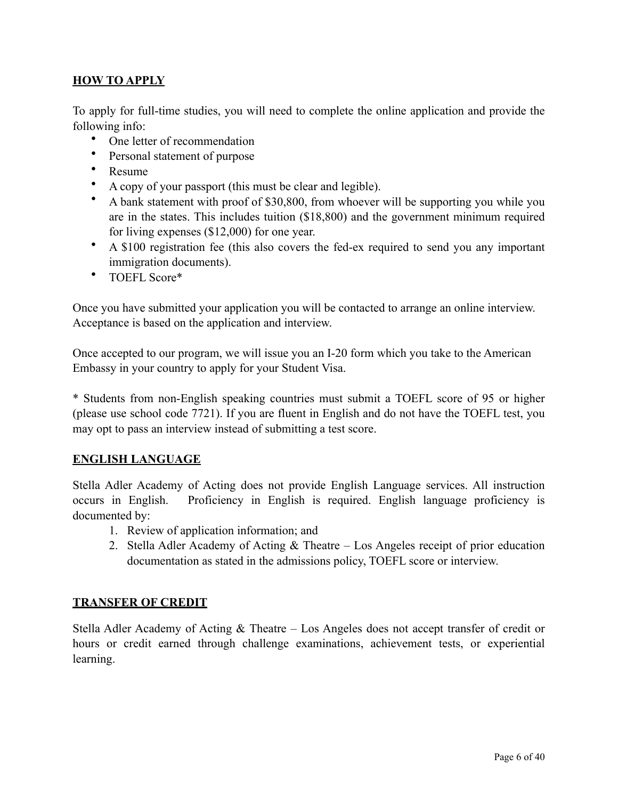#### **HOW TO APPLY**

To apply for full-time studies, you will need to complete the online application and provide the following info:

- One letter of recommendation
- Personal statement of purpose
- Resume
- A copy of your passport (this must be clear and legible).
- A bank statement with proof of \$30,800, from whoever will be supporting you while you are in the states. This includes tuition (\$18,800) and the government minimum required for living expenses (\$12,000) for one year.
- A \$100 registration fee (this also covers the fed-ex required to send you any important immigration documents).
- TOEFL Score\*

Once you have submitted your application you will be contacted to arrange an online interview. Acceptance is based on the application and interview.

Once accepted to our program, we will issue you an I-20 form which you take to the American Embassy in your country to apply for your Student Visa.

\* Students from non-English speaking countries must submit a TOEFL score of 95 or higher (please use school code 7721). If you are fluent in English and do not have the TOEFL test, you may opt to pass an interview instead of submitting a test score.

#### **ENGLISH LANGUAGE**

Stella Adler Academy of Acting does not provide English Language services. All instruction occurs in English. Proficiency in English is required. English language proficiency is documented by:

- 1. Review of application information; and
- 2. Stella Adler Academy of Acting & Theatre Los Angeles receipt of prior education documentation as stated in the admissions policy, TOEFL score or interview.

#### **TRANSFER OF CREDIT**

Stella Adler Academy of Acting & Theatre – Los Angeles does not accept transfer of credit or hours or credit earned through challenge examinations, achievement tests, or experiential learning.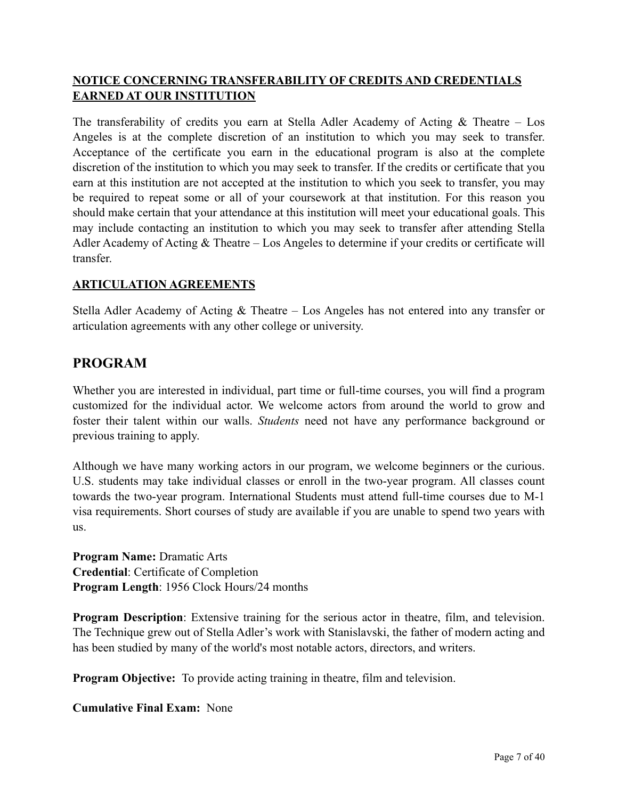#### **NOTICE CONCERNING TRANSFERABILITY OF CREDITS AND CREDENTIALS EARNED AT OUR INSTITUTION**

The transferability of credits you earn at Stella Adler Academy of Acting  $\&$  Theatre – Los Angeles is at the complete discretion of an institution to which you may seek to transfer. Acceptance of the certificate you earn in the educational program is also at the complete discretion of the institution to which you may seek to transfer. If the credits or certificate that you earn at this institution are not accepted at the institution to which you seek to transfer, you may be required to repeat some or all of your coursework at that institution. For this reason you should make certain that your attendance at this institution will meet your educational goals. This may include contacting an institution to which you may seek to transfer after attending Stella Adler Academy of Acting & Theatre – Los Angeles to determine if your credits or certificate will transfer.

#### **ARTICULATION AGREEMENTS**

Stella Adler Academy of Acting & Theatre – Los Angeles has not entered into any transfer or articulation agreements with any other college or university.

#### **PROGRAM**

Whether you are interested in individual, part time or full-time courses, you will find a program customized for the individual actor. We welcome actors from around the world to grow and foster their talent within our walls. *Students* need not have any performance background or previous training to apply.

Although we have many working actors in our program, we welcome beginners or the curious. U.S. students may take individual classes or enroll in the two-year program. All classes count towards the two-year program. International Students must attend full-time courses due to M-1 visa requirements. Short courses of study are available if you are unable to spend two years with us.

**Program Name:** Dramatic Arts **Credential**: Certificate of Completion **Program Length**: 1956 Clock Hours/24 months

**Program Description**: Extensive training for the serious actor in theatre, film, and television. The Technique grew out of Stella Adler's work with Stanislavski, the father of modern acting and has been studied by many of the world's most notable actors, directors, and writers.

**Program Objective:** To provide acting training in theatre, film and television.

**Cumulative Final Exam:** None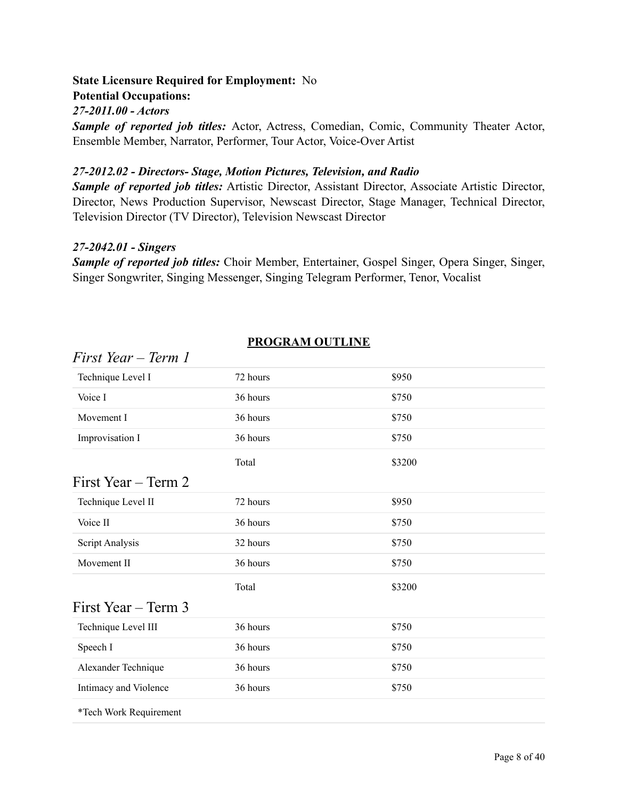#### **State Licensure Required for Employment:** No

**Potential Occupations:** 

#### *27-2011.00 - Actors*

*Sample of reported job titles:* Actor, Actress, Comedian, Comic, Community Theater Actor, Ensemble Member, Narrator, Performer, Tour Actor, Voice-Over Artist

#### *27-2012.02 - Directors- Stage, Motion Pictures, Television, and Radio*

*Sample of reported job titles:* Artistic Director, Assistant Director, Associate Artistic Director, Director, News Production Supervisor, Newscast Director, Stage Manager, Technical Director, Television Director (TV Director), Television Newscast Director

#### *27-2042.01 - Singers*

*Sample of reported job titles:* Choir Member, Entertainer, Gospel Singer, Opera Singer, Singer, Singer Songwriter, Singing Messenger, Singing Telegram Performer, Tenor, Vocalist

| First Year – Term 1    |          |        |  |
|------------------------|----------|--------|--|
| Technique Level I      | 72 hours | \$950  |  |
| Voice I                | 36 hours | \$750  |  |
| Movement I             | 36 hours | \$750  |  |
| Improvisation I        | 36 hours | \$750  |  |
|                        | Total    | \$3200 |  |
| First Year – Term 2    |          |        |  |
| Technique Level II     | 72 hours | \$950  |  |
| Voice II               | 36 hours | \$750  |  |
| Script Analysis        | 32 hours | \$750  |  |
| Movement II            | 36 hours | \$750  |  |
|                        | Total    | \$3200 |  |
| First Year – Term 3    |          |        |  |
| Technique Level III    | 36 hours | \$750  |  |
| Speech I               | 36 hours | \$750  |  |
| Alexander Technique    | 36 hours | \$750  |  |
| Intimacy and Violence  | 36 hours | \$750  |  |
| *Tech Work Requirement |          |        |  |

### **PROGRAM OUTLINE**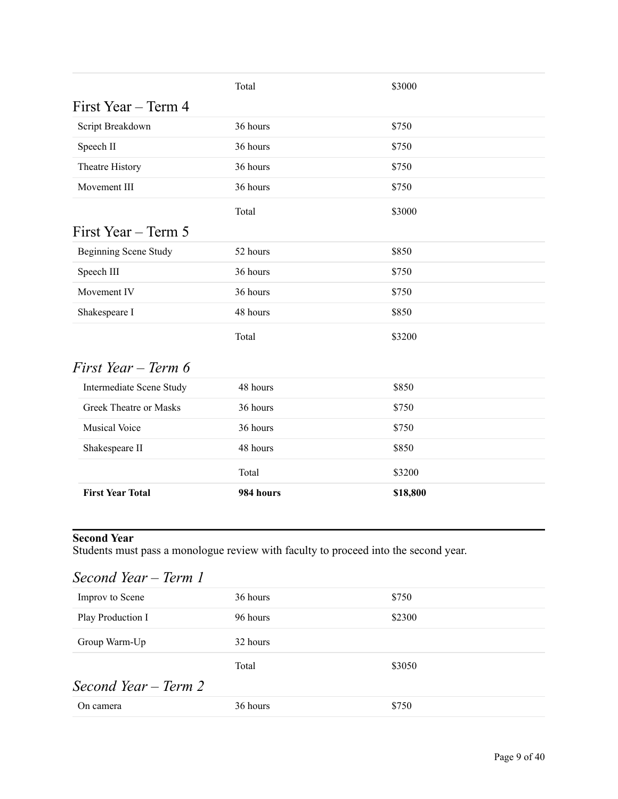|                              | Total    | \$3000 |
|------------------------------|----------|--------|
| First Year – Term 4          |          |        |
| Script Breakdown             | 36 hours | \$750  |
| Speech II                    | 36 hours | \$750  |
| Theatre History              | 36 hours | \$750  |
| Movement III                 | 36 hours | \$750  |
|                              | Total    | \$3000 |
| First Year – Term 5          |          |        |
| <b>Beginning Scene Study</b> | 52 hours | \$850  |
| Speech III                   | 36 hours | \$750  |
| Movement IV                  | 36 hours | \$750  |
| Shakespeare I                | 48 hours | \$850  |
|                              | Total    | \$3200 |

## *First Year – Term 6*

| <b>First Year Total</b>  | 984 hours | \$18,800 |
|--------------------------|-----------|----------|
|                          | Total     | \$3200   |
| Shakespeare II           | 48 hours  | \$850    |
| <b>Musical Voice</b>     | 36 hours  | \$750    |
| Greek Theatre or Masks   | 36 hours  | \$750    |
| Intermediate Scene Study | 48 hours  | \$850    |

#### **Second Year**

Students must pass a monologue review with faculty to proceed into the second year.

| Second Year – Term 1 |          |        |  |
|----------------------|----------|--------|--|
| Improv to Scene      | 36 hours | \$750  |  |
| Play Production I    | 96 hours | \$2300 |  |
| Group Warm-Up        | 32 hours |        |  |
|                      | Total    | \$3050 |  |
| Second Year – Term 2 |          |        |  |
| On camera            | 36 hours | \$750  |  |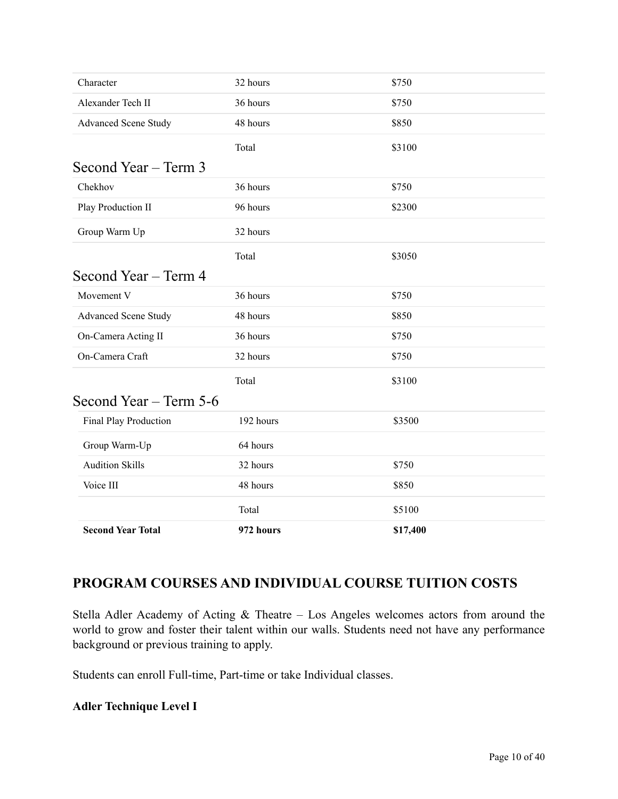| 64 hours<br>32 hours<br>48 hours<br>Total | \$750<br>\$850<br>\$5100 |
|-------------------------------------------|--------------------------|
|                                           |                          |
|                                           |                          |
|                                           |                          |
|                                           |                          |
| 192 hours                                 | \$3500                   |
| Second Year – Term 5-6                    |                          |
| Total                                     | \$3100                   |
| 32 hours                                  | \$750                    |
| 36 hours                                  | \$750                    |
| 48 hours                                  | \$850                    |
| 36 hours                                  | \$750                    |
|                                           |                          |
| Total                                     | \$3050                   |
| 32 hours                                  |                          |
| 96 hours                                  | \$2300                   |
| 36 hours                                  | \$750                    |
|                                           |                          |
| Total                                     | \$3100                   |
| 48 hours                                  | \$850                    |
| 36 hours                                  | \$750                    |
| 32 hours                                  | \$750                    |
|                                           |                          |

## **PROGRAM COURSES AND INDIVIDUAL COURSE TUITION COSTS**

Stella Adler Academy of Acting & Theatre – Los Angeles welcomes actors from around the world to grow and foster their talent within our walls. Students need not have any performance background or previous training to apply.

Students can enroll Full-time, Part-time or take Individual classes.

#### **Adler Technique Level I**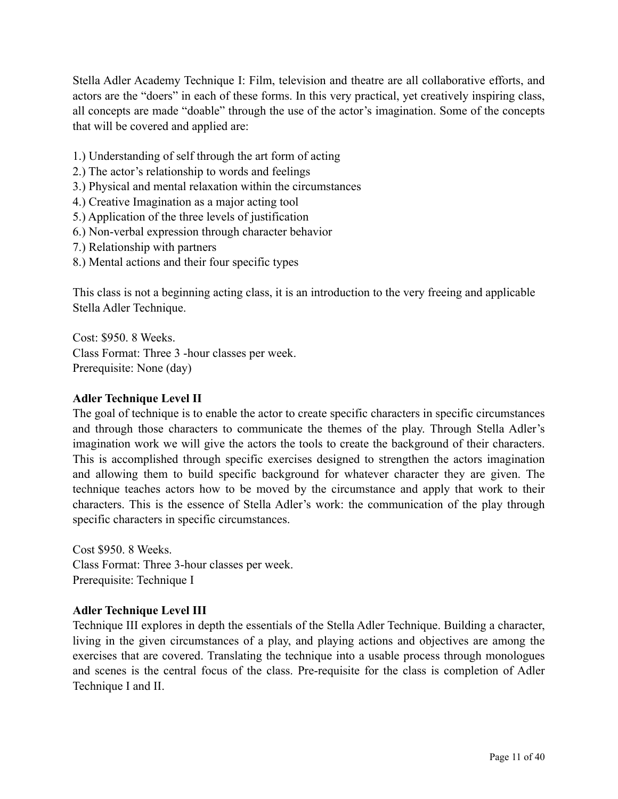Stella Adler Academy Technique I: Film, television and theatre are all collaborative efforts, and actors are the "doers" in each of these forms. In this very practical, yet creatively inspiring class, all concepts are made "doable" through the use of the actor's imagination. Some of the concepts that will be covered and applied are:

- 1.) Understanding of self through the art form of acting
- 2.) The actor's relationship to words and feelings
- 3.) Physical and mental relaxation within the circumstances
- 4.) Creative Imagination as a major acting tool
- 5.) Application of the three levels of justification
- 6.) Non-verbal expression through character behavior
- 7.) Relationship with partners
- 8.) Mental actions and their four specific types

This class is not a beginning acting class, it is an introduction to the very freeing and applicable Stella Adler Technique.

Cost: \$950. 8 Weeks. Class Format: Three 3 -hour classes per week. Prerequisite: None (day)

#### **Adler Technique Level II**

The goal of technique is to enable the actor to create specific characters in specific circumstances and through those characters to communicate the themes of the play. Through Stella Adler's imagination work we will give the actors the tools to create the background of their characters. This is accomplished through specific exercises designed to strengthen the actors imagination and allowing them to build specific background for whatever character they are given. The technique teaches actors how to be moved by the circumstance and apply that work to their characters. This is the essence of Stella Adler's work: the communication of the play through specific characters in specific circumstances.

Cost \$950. 8 Weeks. Class Format: Three 3-hour classes per week. Prerequisite: Technique I

#### **Adler Technique Level III**

Technique III explores in depth the essentials of the Stella Adler Technique. Building a character, living in the given circumstances of a play, and playing actions and objectives are among the exercises that are covered. Translating the technique into a usable process through monologues and scenes is the central focus of the class. Pre-requisite for the class is completion of Adler Technique I and II.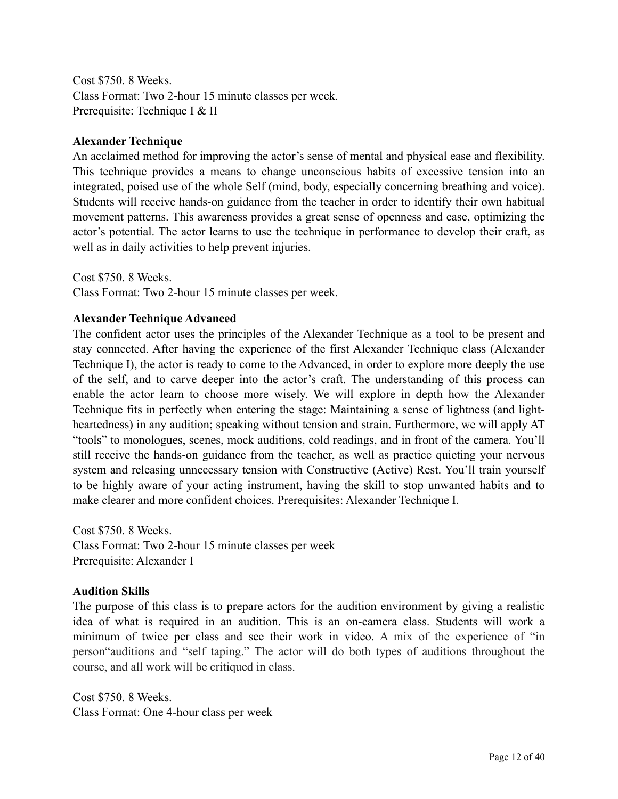Cost \$750. 8 Weeks. Class Format: Two 2-hour 15 minute classes per week. Prerequisite: Technique I & II

#### **Alexander Technique**

An acclaimed method for improving the actor's sense of mental and physical ease and flexibility. This technique provides a means to change unconscious habits of excessive tension into an integrated, poised use of the whole Self (mind, body, especially concerning breathing and voice). Students will receive hands-on guidance from the teacher in order to identify their own habitual movement patterns. This awareness provides a great sense of openness and ease, optimizing the actor's potential. The actor learns to use the technique in performance to develop their craft, as well as in daily activities to help prevent injuries.

Cost \$750. 8 Weeks.

Class Format: Two 2-hour 15 minute classes per week.

#### **Alexander Technique Advanced**

The confident actor uses the principles of the Alexander Technique as a tool to be present and stay connected. After having the experience of the first Alexander Technique class (Alexander Technique I), the actor is ready to come to the Advanced, in order to explore more deeply the use of the self, and to carve deeper into the actor's craft. The understanding of this process can enable the actor learn to choose more wisely. We will explore in depth how the Alexander Technique fits in perfectly when entering the stage: Maintaining a sense of lightness (and lightheartedness) in any audition; speaking without tension and strain. Furthermore, we will apply AT "tools" to monologues, scenes, mock auditions, cold readings, and in front of the camera. You'll still receive the hands-on guidance from the teacher, as well as practice quieting your nervous system and releasing unnecessary tension with Constructive (Active) Rest. You'll train yourself to be highly aware of your acting instrument, having the skill to stop unwanted habits and to make clearer and more confident choices. Prerequisites: Alexander Technique I.

Cost \$750. 8 Weeks. Class Format: Two 2-hour 15 minute classes per week Prerequisite: Alexander I

#### **Audition Skills**

The purpose of this class is to prepare actors for the audition environment by giving a realistic idea of what is required in an audition. This is an on-camera class. Students will work a minimum of twice per class and see their work in video. A mix of the experience of "in person"auditions and "self taping." The actor will do both types of auditions throughout the course, and all work will be critiqued in class.

Cost \$750. 8 Weeks. Class Format: One 4-hour class per week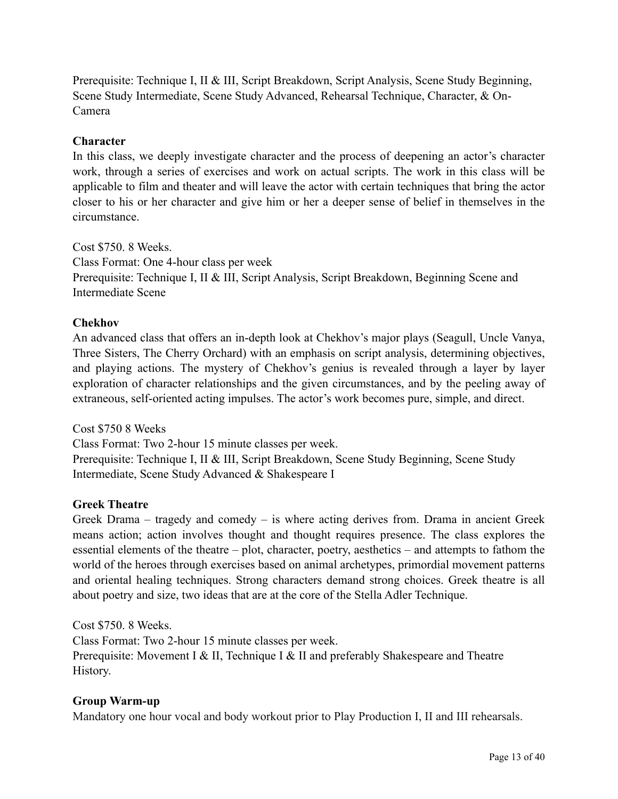Prerequisite: Technique I, II & III, Script Breakdown, Script Analysis, Scene Study Beginning, Scene Study Intermediate, Scene Study Advanced, Rehearsal Technique, Character, & On-Camera

#### **Character**

In this class, we deeply investigate character and the process of deepening an actor's character work, through a series of exercises and work on actual scripts. The work in this class will be applicable to film and theater and will leave the actor with certain techniques that bring the actor closer to his or her character and give him or her a deeper sense of belief in themselves in the circumstance.

Cost \$750. 8 Weeks. Class Format: One 4-hour class per week Prerequisite: Technique I, II & III, Script Analysis, Script Breakdown, Beginning Scene and Intermediate Scene

#### **Chekhov**

An advanced class that offers an in-depth look at Chekhov's major plays (Seagull, Uncle Vanya, Three Sisters, The Cherry Orchard) with an emphasis on script analysis, determining objectives, and playing actions. The mystery of Chekhov's genius is revealed through a layer by layer exploration of character relationships and the given circumstances, and by the peeling away of extraneous, self-oriented acting impulses. The actor's work becomes pure, simple, and direct.

Cost \$750 8 Weeks Class Format: Two 2-hour 15 minute classes per week. Prerequisite: Technique I, II & III, Script Breakdown, Scene Study Beginning, Scene Study Intermediate, Scene Study Advanced & Shakespeare I

#### **Greek Theatre**

Greek Drama – tragedy and comedy – is where acting derives from. Drama in ancient Greek means action; action involves thought and thought requires presence. The class explores the essential elements of the theatre – plot, character, poetry, aesthetics – and attempts to fathom the world of the heroes through exercises based on animal archetypes, primordial movement patterns and oriental healing techniques. Strong characters demand strong choices. Greek theatre is all about poetry and size, two ideas that are at the core of the Stella Adler Technique.

Cost \$750. 8 Weeks.

Class Format: Two 2-hour 15 minute classes per week. Prerequisite: Movement I & II, Technique I & II and preferably Shakespeare and Theatre History.

#### **Group Warm-up**

Mandatory one hour vocal and body workout prior to Play Production I, II and III rehearsals.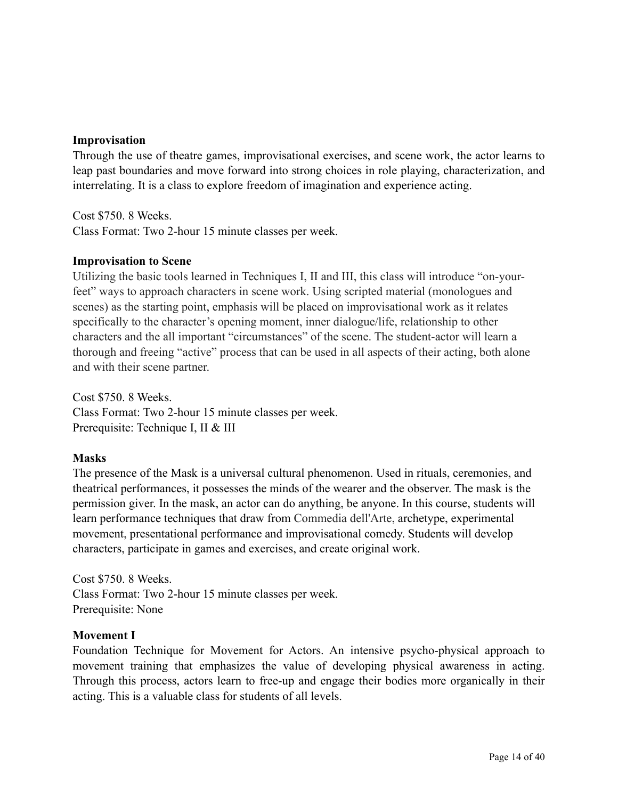#### **Improvisation**

Through the use of theatre games, improvisational exercises, and scene work, the actor learns to leap past boundaries and move forward into strong choices in role playing, characterization, and interrelating. It is a class to explore freedom of imagination and experience acting.

Cost \$750. 8 Weeks. Class Format: Two 2-hour 15 minute classes per week.

#### **Improvisation to Scene**

Utilizing the basic tools learned in Techniques I, II and III, this class will introduce "on-yourfeet" ways to approach characters in scene work. Using scripted material (monologues and scenes) as the starting point, emphasis will be placed on improvisational work as it relates specifically to the character's opening moment, inner dialogue/life, relationship to other characters and the all important "circumstances" of the scene. The student-actor will learn a thorough and freeing "active" process that can be used in all aspects of their acting, both alone and with their scene partner.

Cost \$750. 8 Weeks. Class Format: Two 2-hour 15 minute classes per week. Prerequisite: Technique I, II & III

#### **Masks**

The presence of the Mask is a universal cultural phenomenon. Used in rituals, ceremonies, and theatrical performances, it possesses the minds of the wearer and the observer. The mask is the permission giver. In the mask, an actor can do anything, be anyone. In this course, students will learn performance techniques that draw from Commedia dell'Arte, archetype, experimental movement, presentational performance and improvisational comedy. Students will develop characters, participate in games and exercises, and create original work.

Cost \$750. 8 Weeks. Class Format: Two 2-hour 15 minute classes per week. Prerequisite: None

#### **Movement I**

Foundation Technique for Movement for Actors. An intensive psycho-physical approach to movement training that emphasizes the value of developing physical awareness in acting. Through this process, actors learn to free-up and engage their bodies more organically in their acting. This is a valuable class for students of all levels.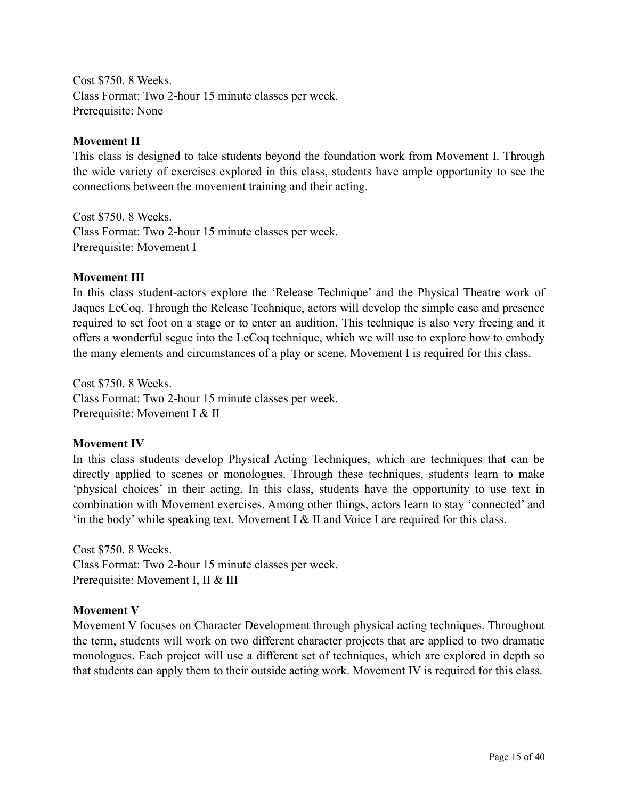Cost \$750. 8 Weeks. Class Format: Two 2-hour 15 minute classes per week. Prerequisite: None

#### **Movement II**

This class is designed to take students beyond the foundation work from Movement I. Through the wide variety of exercises explored in this class, students have ample opportunity to see the connections between the movement training and their acting.

Cost \$750. 8 Weeks. Class Format: Two 2-hour 15 minute classes per week. Prerequisite: Movement I

#### **Movement III**

In this class student-actors explore the 'Release Technique' and the Physical Theatre work of Jaques LeCoq. Through the Release Technique, actors will develop the simple ease and presence required to set foot on a stage or to enter an audition. This technique is also very freeing and it offers a wonderful segue into the LeCoq technique, which we will use to explore how to embody the many elements and circumstances of a play or scene. Movement I is required for this class.

Cost \$750. 8 Weeks. Class Format: Two 2-hour 15 minute classes per week. Prerequisite: Movement I & II

#### **Movement IV**

In this class students develop Physical Acting Techniques, which are techniques that can be directly applied to scenes or monologues. Through these techniques, students learn to make 'physical choices' in their acting. In this class, students have the opportunity to use text in combination with Movement exercises. Among other things, actors learn to stay 'connected' and 'in the body' while speaking text. Movement I & II and Voice I are required for this class.

Cost \$750. 8 Weeks. Class Format: Two 2-hour 15 minute classes per week. Prerequisite: Movement I, II & III

#### **Movement V**

Movement V focuses on Character Development through physical acting techniques. Throughout the term, students will work on two different character projects that are applied to two dramatic monologues. Each project will use a different set of techniques, which are explored in depth so that students can apply them to their outside acting work. Movement IV is required for this class.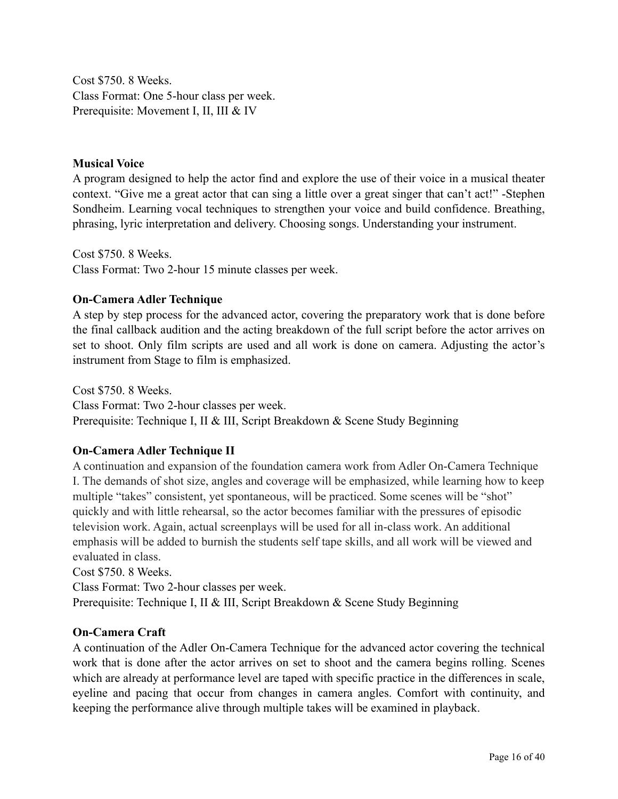Cost \$750. 8 Weeks. Class Format: One 5-hour class per week. Prerequisite: Movement I, II, III & IV

#### **Musical Voice**

A program designed to help the actor find and explore the use of their voice in a musical theater context. "Give me a great actor that can sing a little over a great singer that can't act!" -Stephen Sondheim. Learning vocal techniques to strengthen your voice and build confidence. Breathing, phrasing, lyric interpretation and delivery. Choosing songs. Understanding your instrument.

Cost \$750. 8 Weeks. Class Format: Two 2-hour 15 minute classes per week.

#### **On-Camera Adler Technique**

A step by step process for the advanced actor, covering the preparatory work that is done before the final callback audition and the acting breakdown of the full script before the actor arrives on set to shoot. Only film scripts are used and all work is done on camera. Adjusting the actor's instrument from Stage to film is emphasized.

Cost \$750. 8 Weeks. Class Format: Two 2-hour classes per week. Prerequisite: Technique I, II & III, Script Breakdown & Scene Study Beginning

#### **On-Camera Adler Technique II**

A continuation and expansion of the foundation camera work from Adler On-Camera Technique I. The demands of shot size, angles and coverage will be emphasized, while learning how to keep multiple "takes" consistent, yet spontaneous, will be practiced. Some scenes will be "shot" quickly and with little rehearsal, so the actor becomes familiar with the pressures of episodic television work. Again, actual screenplays will be used for all in-class work. An additional emphasis will be added to burnish the students self tape skills, and all work will be viewed and evaluated in class.

Cost \$750. 8 Weeks.

Class Format: Two 2-hour classes per week.

Prerequisite: Technique I, II & III, Script Breakdown & Scene Study Beginning

#### **On-Camera Craft**

A continuation of the Adler On-Camera Technique for the advanced actor covering the technical work that is done after the actor arrives on set to shoot and the camera begins rolling. Scenes which are already at performance level are taped with specific practice in the differences in scale, eyeline and pacing that occur from changes in camera angles. Comfort with continuity, and keeping the performance alive through multiple takes will be examined in playback.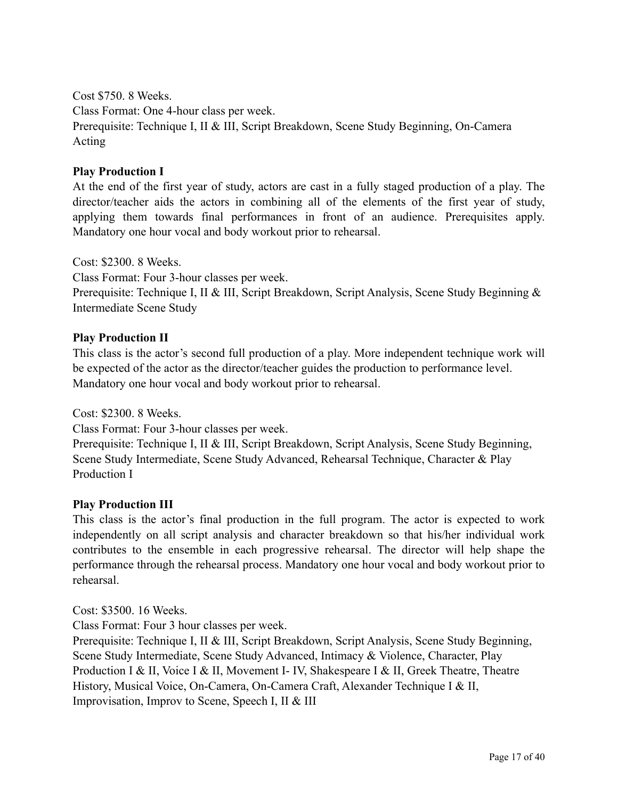Cost \$750. 8 Weeks.

Class Format: One 4-hour class per week.

Prerequisite: Technique I, II & III, Script Breakdown, Scene Study Beginning, On-Camera Acting

#### **Play Production I**

At the end of the first year of study, actors are cast in a fully staged production of a play. The director/teacher aids the actors in combining all of the elements of the first year of study, applying them towards final performances in front of an audience. Prerequisites apply. Mandatory one hour vocal and body workout prior to rehearsal.

Cost: \$2300. 8 Weeks.

Class Format: Four 3-hour classes per week.

Prerequisite: Technique I, II & III, Script Breakdown, Script Analysis, Scene Study Beginning & Intermediate Scene Study

#### **Play Production II**

This class is the actor's second full production of a play. More independent technique work will be expected of the actor as the director/teacher guides the production to performance level. Mandatory one hour vocal and body workout prior to rehearsal.

Cost: \$2300. 8 Weeks.

Class Format: Four 3-hour classes per week.

Prerequisite: Technique I, II & III, Script Breakdown, Script Analysis, Scene Study Beginning, Scene Study Intermediate, Scene Study Advanced, Rehearsal Technique, Character & Play Production I

#### **Play Production III**

This class is the actor's final production in the full program. The actor is expected to work independently on all script analysis and character breakdown so that his/her individual work contributes to the ensemble in each progressive rehearsal. The director will help shape the performance through the rehearsal process. Mandatory one hour vocal and body workout prior to rehearsal.

Cost: \$3500. 16 Weeks.

Class Format: Four 3 hour classes per week.

Prerequisite: Technique I, II & III, Script Breakdown, Script Analysis, Scene Study Beginning, Scene Study Intermediate, Scene Study Advanced, Intimacy & Violence, Character, Play Production I & II, Voice I & II, Movement I- IV, Shakespeare I & II, Greek Theatre, Theatre History, Musical Voice, On-Camera, On-Camera Craft, Alexander Technique I & II, Improvisation, Improv to Scene, Speech I, II & III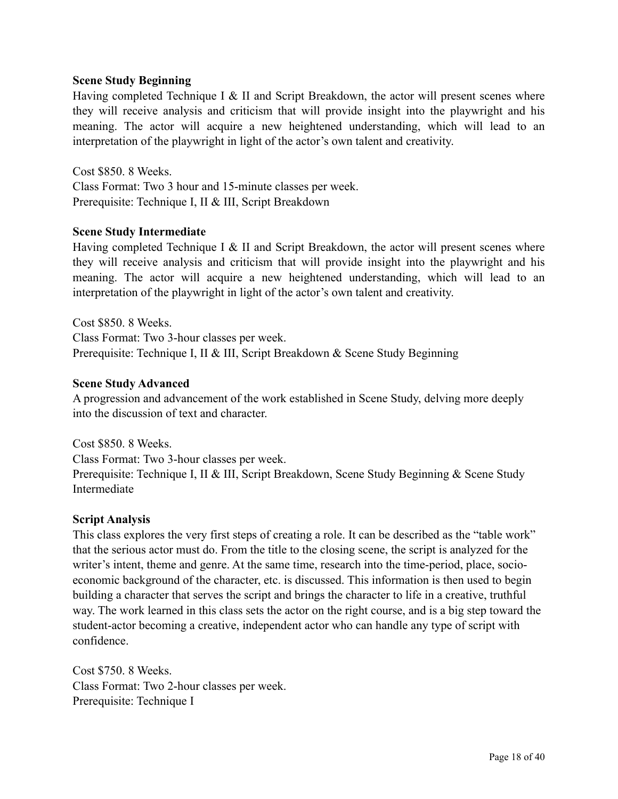#### **Scene Study Beginning**

Having completed Technique I & II and Script Breakdown, the actor will present scenes where they will receive analysis and criticism that will provide insight into the playwright and his meaning. The actor will acquire a new heightened understanding, which will lead to an interpretation of the playwright in light of the actor's own talent and creativity.

Cost \$850. 8 Weeks. Class Format: Two 3 hour and 15-minute classes per week. Prerequisite: Technique I, II & III, Script Breakdown

#### **Scene Study Intermediate**

Having completed Technique I & II and Script Breakdown, the actor will present scenes where they will receive analysis and criticism that will provide insight into the playwright and his meaning. The actor will acquire a new heightened understanding, which will lead to an interpretation of the playwright in light of the actor's own talent and creativity.

Cost \$850. 8 Weeks. Class Format: Two 3-hour classes per week. Prerequisite: Technique I, II & III, Script Breakdown & Scene Study Beginning

#### **Scene Study Advanced**

A progression and advancement of the work established in Scene Study, delving more deeply into the discussion of text and character.

Cost \$850. 8 Weeks. Class Format: Two 3-hour classes per week. Prerequisite: Technique I, II & III, Script Breakdown, Scene Study Beginning & Scene Study Intermediate

#### **Script Analysis**

This class explores the very first steps of creating a role. It can be described as the "table work" that the serious actor must do. From the title to the closing scene, the script is analyzed for the writer's intent, theme and genre. At the same time, research into the time-period, place, socioeconomic background of the character, etc. is discussed. This information is then used to begin building a character that serves the script and brings the character to life in a creative, truthful way. The work learned in this class sets the actor on the right course, and is a big step toward the student-actor becoming a creative, independent actor who can handle any type of script with confidence.

Cost \$750. 8 Weeks. Class Format: Two 2-hour classes per week. Prerequisite: Technique I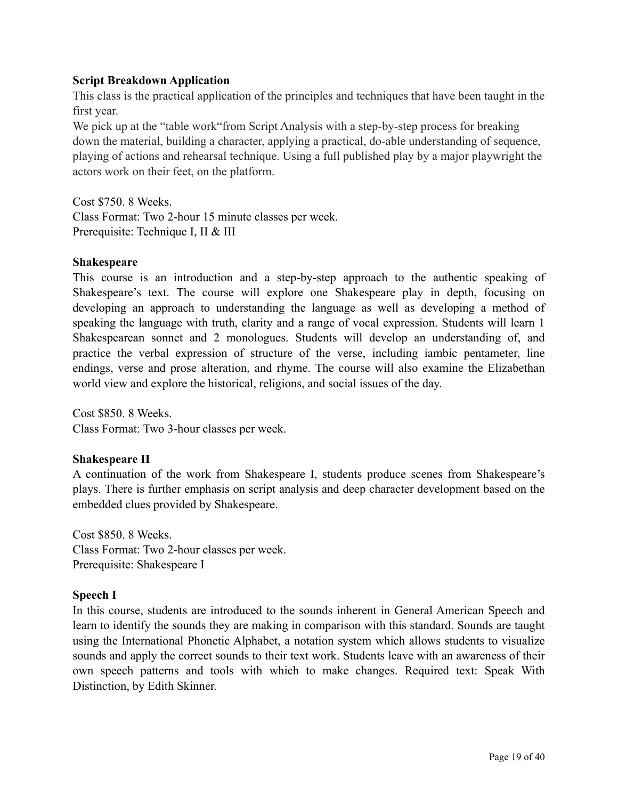#### **Script Breakdown Application**

This class is the practical application of the principles and techniques that have been taught in the first year.

We pick up at the "table work" from Script Analysis with a step-by-step process for breaking down the material, building a character, applying a practical, do-able understanding of sequence, playing of actions and rehearsal technique. Using a full published play by a major playwright the actors work on their feet, on the platform.

Cost \$750. 8 Weeks. Class Format: Two 2-hour 15 minute classes per week. Prerequisite: Technique I, II & III

#### **Shakespeare**

This course is an introduction and a step-by-step approach to the authentic speaking of Shakespeare's text. The course will explore one Shakespeare play in depth, focusing on developing an approach to understanding the language as well as developing a method of speaking the language with truth, clarity and a range of vocal expression. Students will learn 1 Shakespearean sonnet and 2 monologues. Students will develop an understanding of, and practice the verbal expression of structure of the verse, including iambic pentameter, line endings, verse and prose alteration, and rhyme. The course will also examine the Elizabethan world view and explore the historical, religions, and social issues of the day.

Cost \$850. 8 Weeks. Class Format: Two 3-hour classes per week.

#### **Shakespeare II**

A continuation of the work from Shakespeare I, students produce scenes from Shakespeare's plays. There is further emphasis on script analysis and deep character development based on the embedded clues provided by Shakespeare.

Cost \$850. 8 Weeks. Class Format: Two 2-hour classes per week. Prerequisite: Shakespeare I

#### **Speech I**

In this course, students are introduced to the sounds inherent in General American Speech and learn to identify the sounds they are making in comparison with this standard. Sounds are taught using the International Phonetic Alphabet, a notation system which allows students to visualize sounds and apply the correct sounds to their text work. Students leave with an awareness of their own speech patterns and tools with which to make changes. Required text: Speak With Distinction, by Edith Skinner.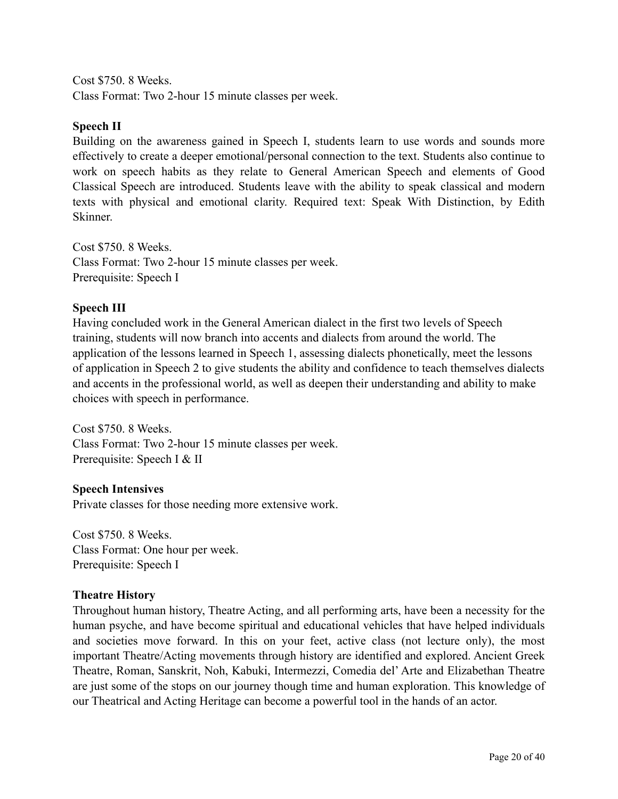Cost \$750. 8 Weeks. Class Format: Two 2-hour 15 minute classes per week.

#### **Speech II**

Building on the awareness gained in Speech I, students learn to use words and sounds more effectively to create a deeper emotional/personal connection to the text. Students also continue to work on speech habits as they relate to General American Speech and elements of Good Classical Speech are introduced. Students leave with the ability to speak classical and modern texts with physical and emotional clarity. Required text: Speak With Distinction, by Edith Skinner.

Cost \$750. 8 Weeks. Class Format: Two 2-hour 15 minute classes per week. Prerequisite: Speech I

#### **Speech III**

Having concluded work in the General American dialect in the first two levels of Speech training, students will now branch into accents and dialects from around the world. The application of the lessons learned in Speech 1, assessing dialects phonetically, meet the lessons of application in Speech 2 to give students the ability and confidence to teach themselves dialects and accents in the professional world, as well as deepen their understanding and ability to make choices with speech in performance.

Cost \$750. 8 Weeks. Class Format: Two 2-hour 15 minute classes per week. Prerequisite: Speech I & II

#### **Speech Intensives**

Private classes for those needing more extensive work.

Cost \$750. 8 Weeks. Class Format: One hour per week. Prerequisite: Speech I

#### **Theatre History**

Throughout human history, Theatre Acting, and all performing arts, have been a necessity for the human psyche, and have become spiritual and educational vehicles that have helped individuals and societies move forward. In this on your feet, active class (not lecture only), the most important Theatre/Acting movements through history are identified and explored. Ancient Greek Theatre, Roman, Sanskrit, Noh, Kabuki, Intermezzi, Comedia del' Arte and Elizabethan Theatre are just some of the stops on our journey though time and human exploration. This knowledge of our Theatrical and Acting Heritage can become a powerful tool in the hands of an actor.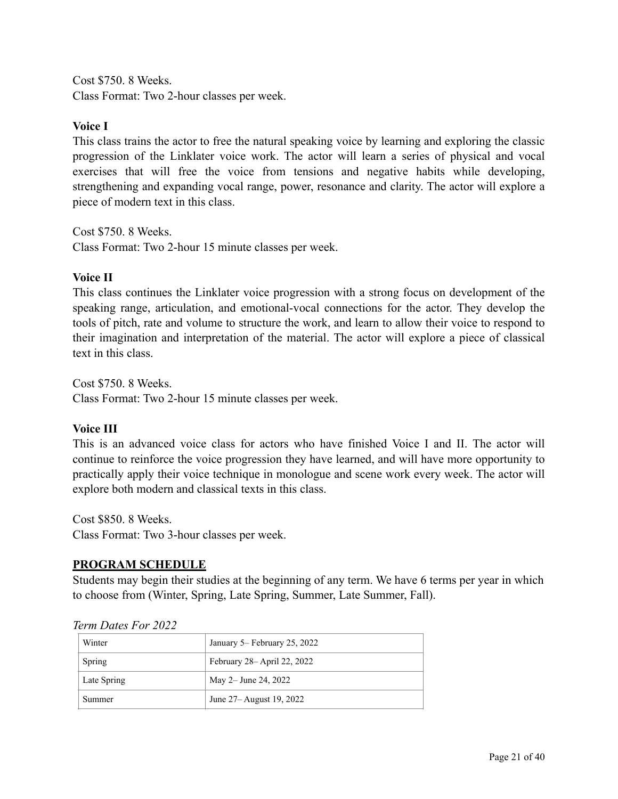Cost \$750. 8 Weeks. Class Format: Two 2-hour classes per week.

#### **Voice I**

This class trains the actor to free the natural speaking voice by learning and exploring the classic progression of the Linklater voice work. The actor will learn a series of physical and vocal exercises that will free the voice from tensions and negative habits while developing, strengthening and expanding vocal range, power, resonance and clarity. The actor will explore a piece of modern text in this class.

Cost \$750. 8 Weeks. Class Format: Two 2-hour 15 minute classes per week.

#### **Voice II**

This class continues the Linklater voice progression with a strong focus on development of the speaking range, articulation, and emotional-vocal connections for the actor. They develop the tools of pitch, rate and volume to structure the work, and learn to allow their voice to respond to their imagination and interpretation of the material. The actor will explore a piece of classical text in this class.

Cost \$750. 8 Weeks. Class Format: Two 2-hour 15 minute classes per week.

#### **Voice III**

This is an advanced voice class for actors who have finished Voice I and II. The actor will continue to reinforce the voice progression they have learned, and will have more opportunity to practically apply their voice technique in monologue and scene work every week. The actor will explore both modern and classical texts in this class.

Cost \$850. 8 Weeks. Class Format: Two 3-hour classes per week.

#### **PROGRAM SCHEDULE**

Students may begin their studies at the beginning of any term. We have 6 terms per year in which to choose from (Winter, Spring, Late Spring, Summer, Late Summer, Fall).

| Winter      | January 5– February 25, 2022 |
|-------------|------------------------------|
| Spring      | February 28– April 22, 2022  |
| Late Spring | May 2– June 24, 2022         |
| Summer      | June 27– August 19, 2022     |

*Term Dates For 2022*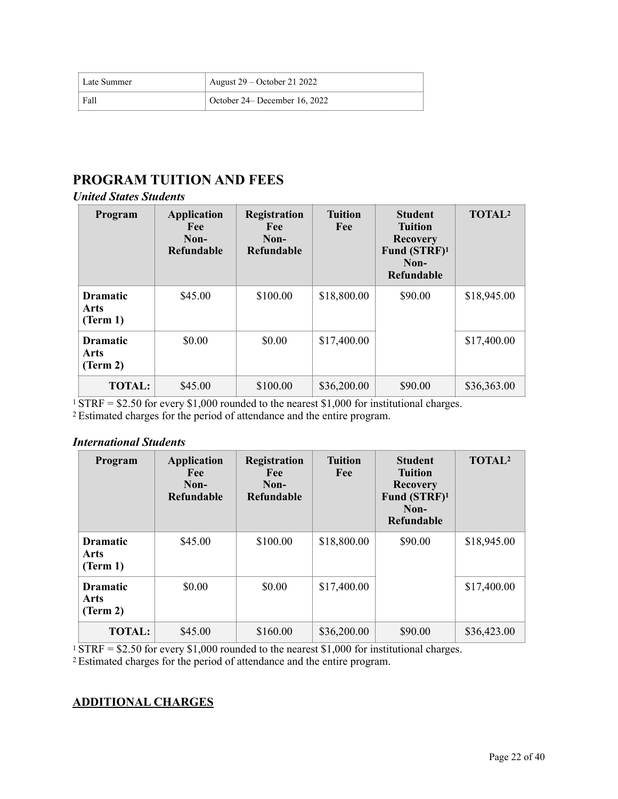| <sup>1</sup> Late Summer | August $29 -$ October 21 2022 |
|--------------------------|-------------------------------|
| Fall                     | October 24– December 16, 2022 |

## **PROGRAM TUITION AND FEES**

#### *United States Students*

| Program                             | <b>Application</b><br><b>Fee</b><br>Non-<br><b>Refundable</b> | <b>Registration</b><br>Fee<br>Non-<br><b>Refundable</b> | <b>Tuition</b><br>Fee | <b>Student</b><br><b>Tuition</b><br><b>Recovery</b><br>Fund (STRF) <sup>1</sup><br>Non-<br><b>Refundable</b> | <b>TOTAL2</b> |
|-------------------------------------|---------------------------------------------------------------|---------------------------------------------------------|-----------------------|--------------------------------------------------------------------------------------------------------------|---------------|
| <b>Dramatic</b><br>Arts<br>(Term 1) | \$45.00                                                       | \$100.00                                                | \$18,800.00           | \$90.00                                                                                                      | \$18,945.00   |
| <b>Dramatic</b><br>Arts<br>(Term 2) | \$0.00                                                        | \$0.00                                                  | \$17,400.00           |                                                                                                              | \$17,400.00   |
| <b>TOTAL:</b>                       | \$45.00                                                       | \$100.00                                                | \$36,200.00           | \$90.00                                                                                                      | \$36,363.00   |

<sup>1</sup> STRF = \$2.50 for every \$1,000 rounded to the nearest \$1,000 for institutional charges.

2 Estimated charges for the period of attendance and the entire program.

#### *International Students*

| Program                             | <b>Application</b><br>Fee<br>Non-<br><b>Refundable</b> | Registration<br>Fee<br>Non-<br><b>Refundable</b> | <b>Tuition</b><br>Fee | <b>Student</b><br><b>Tuition</b><br><b>Recovery</b><br>Fund (STRF) <sup>1</sup><br>Non-<br><b>Refundable</b> | <b>TOTAL2</b> |
|-------------------------------------|--------------------------------------------------------|--------------------------------------------------|-----------------------|--------------------------------------------------------------------------------------------------------------|---------------|
| <b>Dramatic</b><br>Arts<br>(Term 1) | \$45.00                                                | \$100.00                                         | \$18,800.00           | \$90.00                                                                                                      | \$18,945.00   |
| <b>Dramatic</b><br>Arts<br>(Term 2) | \$0.00                                                 | \$0.00                                           | \$17,400.00           |                                                                                                              | \$17,400.00   |
| <b>TOTAL:</b>                       | \$45.00                                                | \$160.00                                         | \$36,200.00           | \$90.00                                                                                                      | \$36,423.00   |

<sup>1</sup> STRF = \$2.50 for every \$1,000 rounded to the nearest \$1,000 for institutional charges. 2 Estimated charges for the period of attendance and the entire program.

#### **ADDITIONAL CHARGES**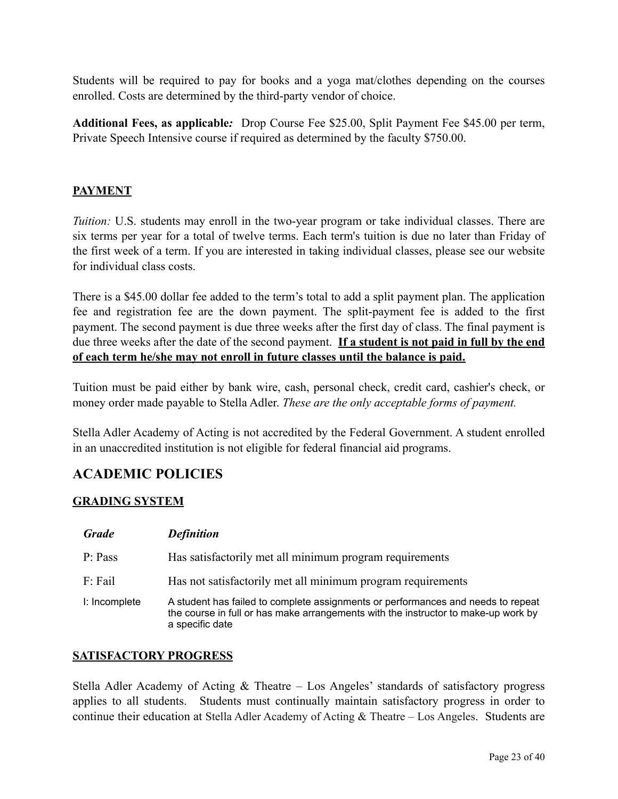Students will be required to pay for books and a yoga mat/clothes depending on the courses enrolled. Costs are determined by the third-party vendor of choice.

**Additional Fees, as applicable***:* Drop Course Fee \$25.00, Split Payment Fee \$45.00 per term, Private Speech Intensive course if required as determined by the faculty \$750.00.

#### **PAYMENT**

*Tuition:* U.S. students may enroll in the two-year program or take individual classes. There are six terms per year for a total of twelve terms. Each term's tuition is due no later than Friday of the first week of a term. If you are interested in taking individual classes, please see our website for individual class costs.

There is a \$45.00 dollar fee added to the term's total to add a split payment plan. The application fee and registration fee are the down payment. The split-payment fee is added to the first payment. The second payment is due three weeks after the first day of class. The final payment is due three weeks after the date of the second payment. **If a student is not paid in full by the end of each term he/she may not enroll in future classes until the balance is paid.**

Tuition must be paid either by bank wire, cash, personal check, credit card, cashier's check, or money order made payable to Stella Adler. *These are the only acceptable forms of payment.*

Stella Adler Academy of Acting is not accredited by the Federal Government. A student enrolled in an unaccredited institution is not eligible for federal financial aid programs.

#### **ACADEMIC POLICIES**

#### **GRADING SYSTEM**

| <b>Grade</b>     | <b>Definition</b>                                                                                                                                                                         |
|------------------|-------------------------------------------------------------------------------------------------------------------------------------------------------------------------------------------|
| P: Pass          | Has satisfactorily met all minimum program requirements                                                                                                                                   |
| $F: \text{fail}$ | Has not satisfactorily met all minimum program requirements                                                                                                                               |
| I: Incomplete    | A student has failed to complete assignments or performances and needs to repeat<br>the course in full or has make arrangements with the instructor to make-up work by<br>a specific date |

#### **SATISFACTORY PROGRESS**

Stella Adler Academy of Acting & Theatre – Los Angeles' standards of satisfactory progress applies to all students. Students must continually maintain satisfactory progress in order to continue their education at Stella Adler Academy of Acting & Theatre – Los Angeles. Students are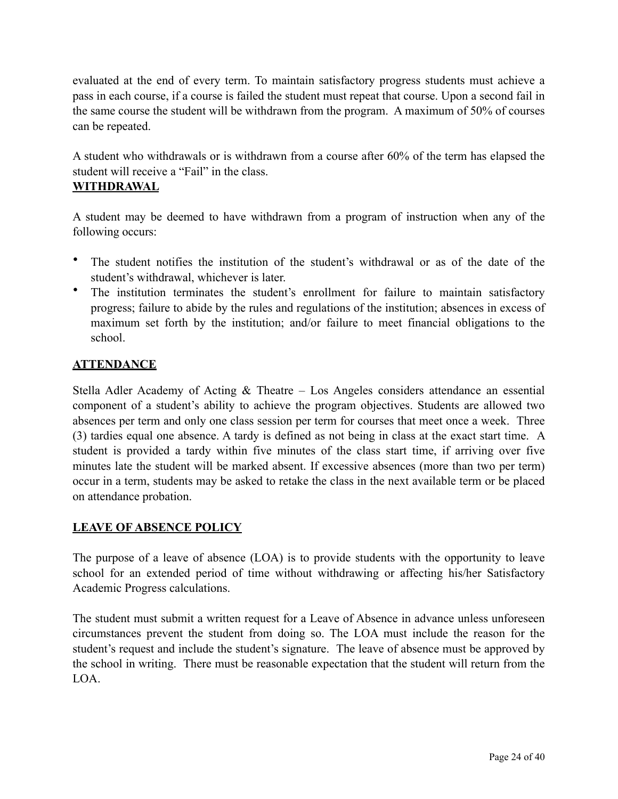evaluated at the end of every term. To maintain satisfactory progress students must achieve a pass in each course, if a course is failed the student must repeat that course. Upon a second fail in the same course the student will be withdrawn from the program. A maximum of 50% of courses can be repeated.

A student who withdrawals or is withdrawn from a course after 60% of the term has elapsed the student will receive a "Fail" in the class.

#### **WITHDRAWAL**

A student may be deemed to have withdrawn from a program of instruction when any of the following occurs:

- The student notifies the institution of the student's withdrawal or as of the date of the student's withdrawal, whichever is later.
- The institution terminates the student's enrollment for failure to maintain satisfactory progress; failure to abide by the rules and regulations of the institution; absences in excess of maximum set forth by the institution; and/or failure to meet financial obligations to the school.

#### **ATTENDANCE**

Stella Adler Academy of Acting & Theatre – Los Angeles considers attendance an essential component of a student's ability to achieve the program objectives. Students are allowed two absences per term and only one class session per term for courses that meet once a week. Three (3) tardies equal one absence. A tardy is defined as not being in class at the exact start time. A student is provided a tardy within five minutes of the class start time, if arriving over five minutes late the student will be marked absent. If excessive absences (more than two per term) occur in a term, students may be asked to retake the class in the next available term or be placed on attendance probation.

#### **LEAVE OF ABSENCE POLICY**

The purpose of a leave of absence (LOA) is to provide students with the opportunity to leave school for an extended period of time without withdrawing or affecting his/her Satisfactory Academic Progress calculations.

The student must submit a written request for a Leave of Absence in advance unless unforeseen circumstances prevent the student from doing so. The LOA must include the reason for the student's request and include the student's signature. The leave of absence must be approved by the school in writing. There must be reasonable expectation that the student will return from the LOA.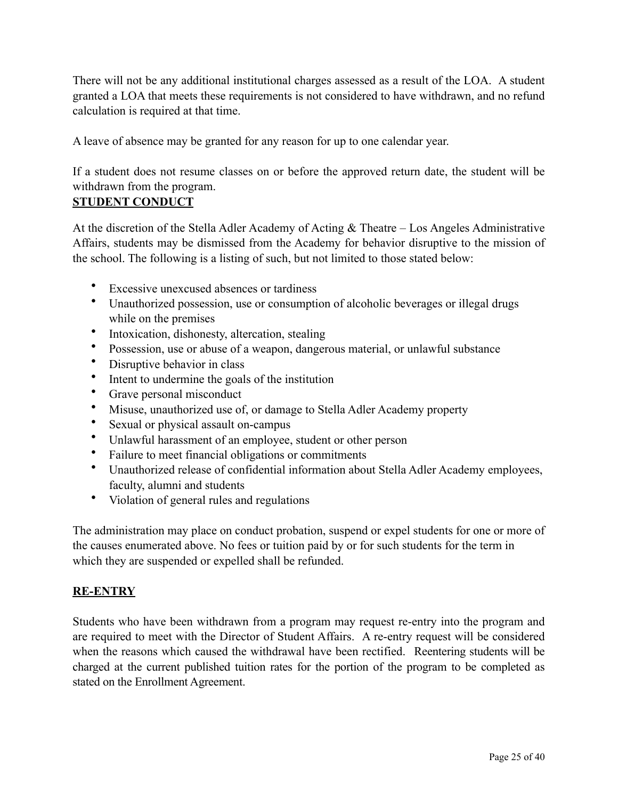There will not be any additional institutional charges assessed as a result of the LOA. A student granted a LOA that meets these requirements is not considered to have withdrawn, and no refund calculation is required at that time.

A leave of absence may be granted for any reason for up to one calendar year.

If a student does not resume classes on or before the approved return date, the student will be withdrawn from the program.

#### **STUDENT CONDUCT**

At the discretion of the Stella Adler Academy of Acting & Theatre – Los Angeles Administrative Affairs, students may be dismissed from the Academy for behavior disruptive to the mission of the school. The following is a listing of such, but not limited to those stated below:

- Excessive unexcused absences or tardiness
- Unauthorized possession, use or consumption of alcoholic beverages or illegal drugs while on the premises
- Intoxication, dishonesty, altercation, stealing
- Possession, use or abuse of a weapon, dangerous material, or unlawful substance
- Disruptive behavior in class
- Intent to undermine the goals of the institution
- Grave personal misconduct
- Misuse, unauthorized use of, or damage to Stella Adler Academy property
- Sexual or physical assault on-campus
- Unlawful harassment of an employee, student or other person
- Failure to meet financial obligations or commitments
- Unauthorized release of confidential information about Stella Adler Academy employees, faculty, alumni and students
- Violation of general rules and regulations

The administration may place on conduct probation, suspend or expel students for one or more of the causes enumerated above. No fees or tuition paid by or for such students for the term in which they are suspended or expelled shall be refunded.

#### **RE-ENTRY**

Students who have been withdrawn from a program may request re-entry into the program and are required to meet with the Director of Student Affairs. A re-entry request will be considered when the reasons which caused the withdrawal have been rectified. Reentering students will be charged at the current published tuition rates for the portion of the program to be completed as stated on the Enrollment Agreement.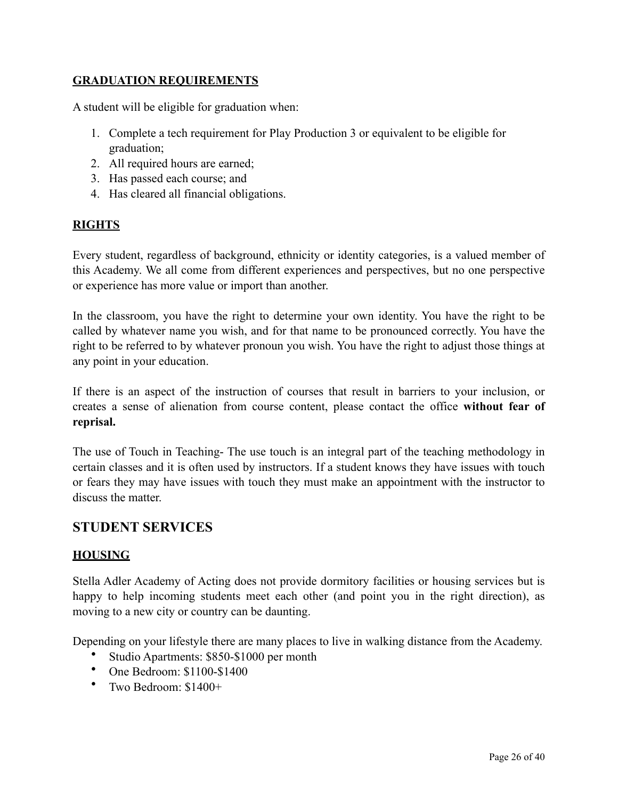#### **GRADUATION REQUIREMENTS**

A student will be eligible for graduation when:

- 1. Complete a tech requirement for Play Production 3 or equivalent to be eligible for graduation;
- 2. All required hours are earned;
- 3. Has passed each course; and
- 4. Has cleared all financial obligations.

#### **RIGHTS**

Every student, regardless of background, ethnicity or identity categories, is a valued member of this Academy. We all come from different experiences and perspectives, but no one perspective or experience has more value or import than another.

In the classroom, you have the right to determine your own identity. You have the right to be called by whatever name you wish, and for that name to be pronounced correctly. You have the right to be referred to by whatever pronoun you wish. You have the right to adjust those things at any point in your education.

If there is an aspect of the instruction of courses that result in barriers to your inclusion, or creates a sense of alienation from course content, please contact the office **without fear of reprisal.**

The use of Touch in Teaching- The use touch is an integral part of the teaching methodology in certain classes and it is often used by instructors. If a student knows they have issues with touch or fears they may have issues with touch they must make an appointment with the instructor to discuss the matter.

#### **STUDENT SERVICES**

#### **HOUSING**

Stella Adler Academy of Acting does not provide dormitory facilities or housing services but is happy to help incoming students meet each other (and point you in the right direction), as moving to a new city or country can be daunting.

Depending on your lifestyle there are many places to live in walking distance from the Academy.

- Studio Apartments: \$850-\$1000 per month
- One Bedroom: \$1100-\$1400
- Two Bedroom: \$1400+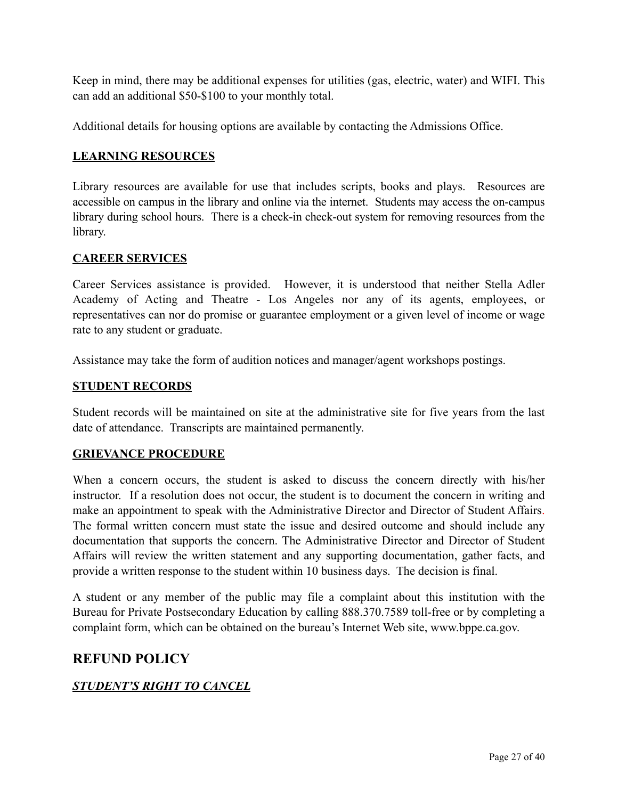Keep in mind, there may be additional expenses for utilities (gas, electric, water) and WIFI. This can add an additional \$50-\$100 to your monthly total.

Additional details for housing options are available by contacting the Admissions Office.

#### **LEARNING RESOURCES**

Library resources are available for use that includes scripts, books and plays. Resources are accessible on campus in the library and online via the internet. Students may access the on-campus library during school hours. There is a check-in check-out system for removing resources from the library.

#### **CAREER SERVICES**

Career Services assistance is provided. However, it is understood that neither Stella Adler Academy of Acting and Theatre - Los Angeles nor any of its agents, employees, or representatives can nor do promise or guarantee employment or a given level of income or wage rate to any student or graduate.

Assistance may take the form of audition notices and manager/agent workshops postings.

#### **STUDENT RECORDS**

Student records will be maintained on site at the administrative site for five years from the last date of attendance. Transcripts are maintained permanently.

#### **GRIEVANCE PROCEDURE**

When a concern occurs, the student is asked to discuss the concern directly with his/her instructor. If a resolution does not occur, the student is to document the concern in writing and make an appointment to speak with the Administrative Director and Director of Student Affairs. The formal written concern must state the issue and desired outcome and should include any documentation that supports the concern. The Administrative Director and Director of Student Affairs will review the written statement and any supporting documentation, gather facts, and provide a written response to the student within 10 business days. The decision is final.

A student or any member of the public may file a complaint about this institution with the Bureau for Private Postsecondary Education by calling 888.370.7589 toll-free or by completing a complaint form, which can be obtained on the bureau's Internet Web site, [www.bppe.ca.gov](http://www.bppe.ca.gov).

#### **REFUND POLICY**

#### *STUDENT'S RIGHT TO CANCEL*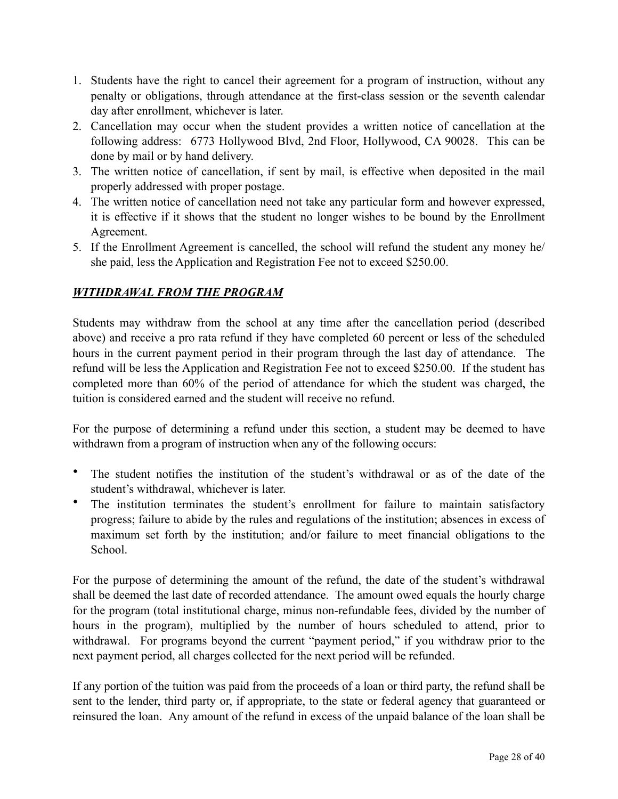- 1. Students have the right to cancel their agreement for a program of instruction, without any penalty or obligations, through attendance at the first-class session or the seventh calendar day after enrollment, whichever is later.
- 2. Cancellation may occur when the student provides a written notice of cancellation at the following address: 6773 Hollywood Blvd, 2nd Floor, Hollywood, CA 90028. This can be done by mail or by hand delivery.
- 3. The written notice of cancellation, if sent by mail, is effective when deposited in the mail properly addressed with proper postage.
- 4. The written notice of cancellation need not take any particular form and however expressed, it is effective if it shows that the student no longer wishes to be bound by the Enrollment Agreement.
- 5. If the Enrollment Agreement is cancelled, the school will refund the student any money he/ she paid, less the Application and Registration Fee not to exceed \$250.00.

#### *WITHDRAWAL FROM THE PROGRAM*

Students may withdraw from the school at any time after the cancellation period (described above) and receive a pro rata refund if they have completed 60 percent or less of the scheduled hours in the current payment period in their program through the last day of attendance. The refund will be less the Application and Registration Fee not to exceed \$250.00. If the student has completed more than 60% of the period of attendance for which the student was charged, the tuition is considered earned and the student will receive no refund.

For the purpose of determining a refund under this section, a student may be deemed to have withdrawn from a program of instruction when any of the following occurs:

- The student notifies the institution of the student's withdrawal or as of the date of the student's withdrawal, whichever is later.
- The institution terminates the student's enrollment for failure to maintain satisfactory progress; failure to abide by the rules and regulations of the institution; absences in excess of maximum set forth by the institution; and/or failure to meet financial obligations to the School.

For the purpose of determining the amount of the refund, the date of the student's withdrawal shall be deemed the last date of recorded attendance. The amount owed equals the hourly charge for the program (total institutional charge, minus non-refundable fees, divided by the number of hours in the program), multiplied by the number of hours scheduled to attend, prior to withdrawal. For programs beyond the current "payment period," if you withdraw prior to the next payment period, all charges collected for the next period will be refunded.

If any portion of the tuition was paid from the proceeds of a loan or third party, the refund shall be sent to the lender, third party or, if appropriate, to the state or federal agency that guaranteed or reinsured the loan. Any amount of the refund in excess of the unpaid balance of the loan shall be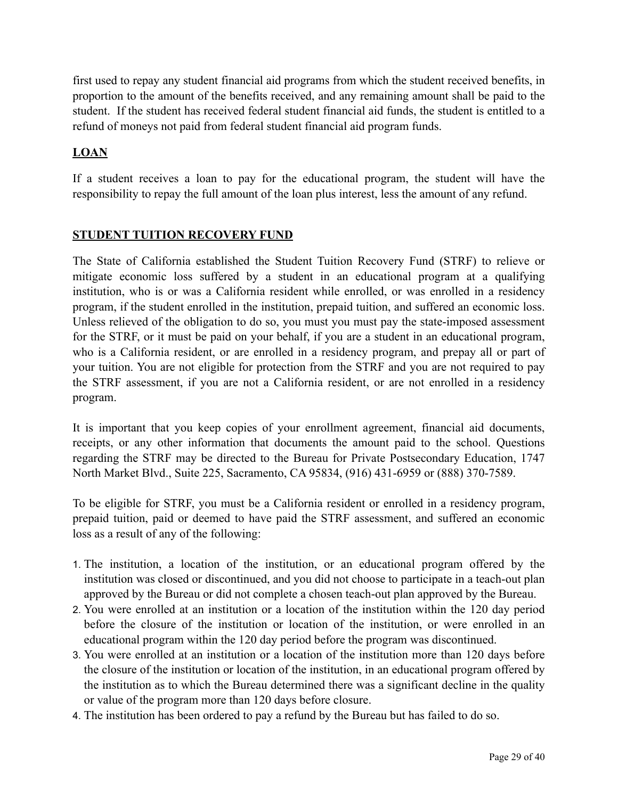first used to repay any student financial aid programs from which the student received benefits, in proportion to the amount of the benefits received, and any remaining amount shall be paid to the student. If the student has received federal student financial aid funds, the student is entitled to a refund of moneys not paid from federal student financial aid program funds.

#### **LOAN**

If a student receives a loan to pay for the educational program, the student will have the responsibility to repay the full amount of the loan plus interest, less the amount of any refund.

#### **STUDENT TUITION RECOVERY FUND**

The State of California established the Student Tuition Recovery Fund (STRF) to relieve or mitigate economic loss suffered by a student in an educational program at a qualifying institution, who is or was a California resident while enrolled, or was enrolled in a residency program, if the student enrolled in the institution, prepaid tuition, and suffered an economic loss. Unless relieved of the obligation to do so, you must you must pay the state-imposed assessment for the STRF, or it must be paid on your behalf, if you are a student in an educational program, who is a California resident, or are enrolled in a residency program, and prepay all or part of your tuition. You are not eligible for protection from the STRF and you are not required to pay the STRF assessment, if you are not a California resident, or are not enrolled in a residency program.

It is important that you keep copies of your enrollment agreement, financial aid documents, receipts, or any other information that documents the amount paid to the school. Questions regarding the STRF may be directed to the Bureau for Private Postsecondary Education, 1747 North Market Blvd., Suite 225, Sacramento, CA 95834, (916) 431-6959 or (888) 370-7589.

To be eligible for STRF, you must be a California resident or enrolled in a residency program, prepaid tuition, paid or deemed to have paid the STRF assessment, and suffered an economic loss as a result of any of the following:

- 1. The institution, a location of the institution, or an educational program offered by the institution was closed or discontinued, and you did not choose to participate in a teach-out plan approved by the Bureau or did not complete a chosen teach-out plan approved by the Bureau.
- 2. You were enrolled at an institution or a location of the institution within the 120 day period before the closure of the institution or location of the institution, or were enrolled in an educational program within the 120 day period before the program was discontinued.
- 3. You were enrolled at an institution or a location of the institution more than 120 days before the closure of the institution or location of the institution, in an educational program offered by the institution as to which the Bureau determined there was a significant decline in the quality or value of the program more than 120 days before closure.
- 4. The institution has been ordered to pay a refund by the Bureau but has failed to do so.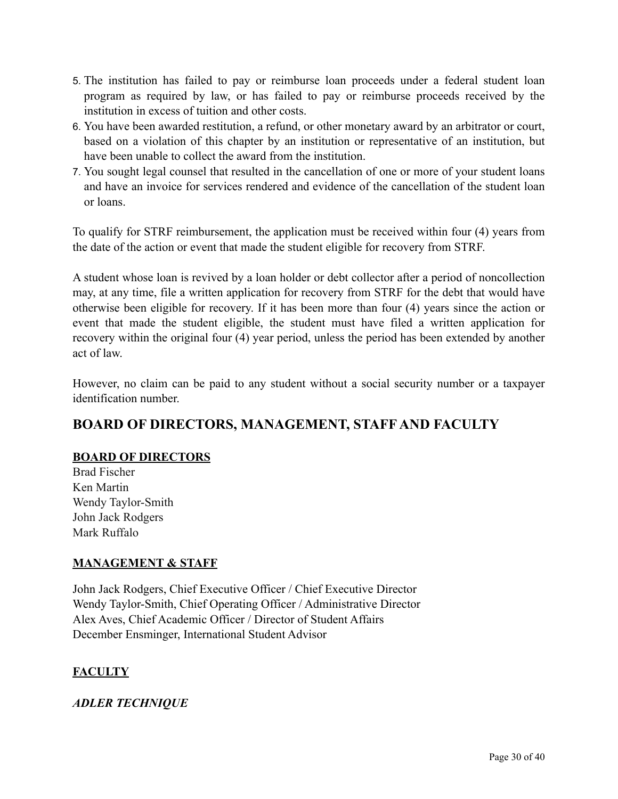- 5. The institution has failed to pay or reimburse loan proceeds under a federal student loan program as required by law, or has failed to pay or reimburse proceeds received by the institution in excess of tuition and other costs.
- 6. You have been awarded restitution, a refund, or other monetary award by an arbitrator or court, based on a violation of this chapter by an institution or representative of an institution, but have been unable to collect the award from the institution.
- 7. You sought legal counsel that resulted in the cancellation of one or more of your student loans and have an invoice for services rendered and evidence of the cancellation of the student loan or loans.

To qualify for STRF reimbursement, the application must be received within four (4) years from the date of the action or event that made the student eligible for recovery from STRF.

A student whose loan is revived by a loan holder or debt collector after a period of noncollection may, at any time, file a written application for recovery from STRF for the debt that would have otherwise been eligible for recovery. If it has been more than four (4) years since the action or event that made the student eligible, the student must have filed a written application for recovery within the original four (4) year period, unless the period has been extended by another act of law.

However, no claim can be paid to any student without a social security number or a taxpayer identification number.

## **BOARD OF DIRECTORS, MANAGEMENT, STAFF AND FACULTY**

#### **BOARD OF DIRECTORS**

Brad Fischer Ken Martin Wendy Taylor-Smith John Jack Rodgers Mark Ruffalo

#### **MANAGEMENT & STAFF**

John Jack Rodgers, Chief Executive Officer / Chief Executive Director Wendy Taylor-Smith, Chief Operating Officer / Administrative Director Alex Aves, Chief Academic Officer / Director of Student Affairs December Ensminger, International Student Advisor

#### **FACULTY**

#### *ADLER TECHNIQUE*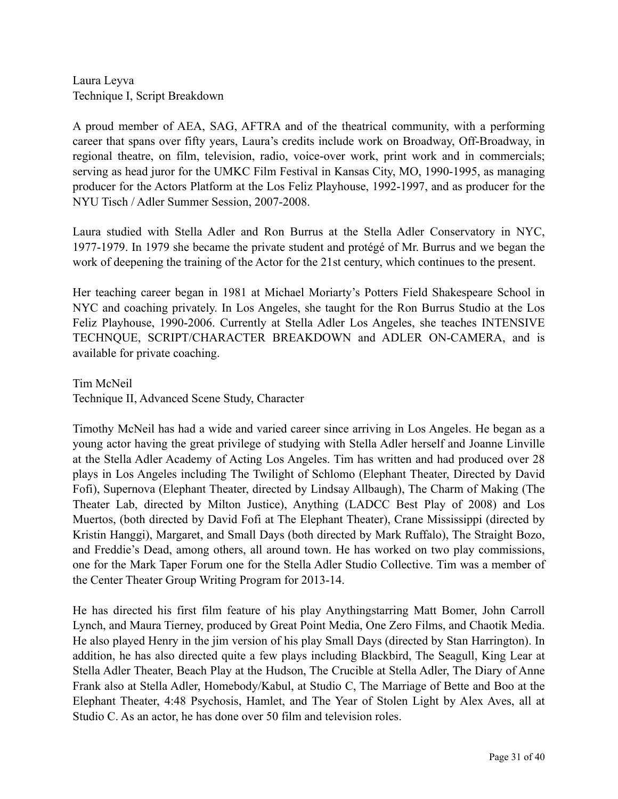Laura Leyva Technique I, Script Breakdown

A proud member of AEA, SAG, AFTRA and of the theatrical community, with a performing career that spans over fifty years, Laura's credits include work on Broadway, Off-Broadway, in regional theatre, on film, television, radio, voice-over work, print work and in commercials; serving as head juror for the UMKC Film Festival in Kansas City, MO, 1990-1995, as managing producer for the Actors Platform at the Los Feliz Playhouse, 1992-1997, and as producer for the NYU Tisch / Adler Summer Session, 2007-2008.

Laura studied with Stella Adler and Ron Burrus at the Stella Adler Conservatory in NYC, 1977-1979. In 1979 she became the private student and protégé of Mr. Burrus and we began the work of deepening the training of the Actor for the 21st century, which continues to the present.

Her teaching career began in 1981 at Michael Moriarty's Potters Field Shakespeare School in NYC and coaching privately. In Los Angeles, she taught for the Ron Burrus Studio at the Los Feliz Playhouse, 1990-2006. Currently at Stella Adler Los Angeles, she teaches INTENSIVE TECHNQUE, SCRIPT/CHARACTER BREAKDOWN and ADLER ON-CAMERA, and is available for private coaching.

Tim McNeil Technique II, Advanced Scene Study, Character

Timothy McNeil has had a wide and varied career since arriving in Los Angeles. He began as a young actor having the great privilege of studying with Stella Adler herself and Joanne Linville at the Stella Adler Academy of Acting Los Angeles. Tim has written and had produced over 28 plays in Los Angeles including The Twilight of Schlomo (Elephant Theater, Directed by David Fofi), Supernova (Elephant Theater, directed by Lindsay Allbaugh), The Charm of Making (The Theater Lab, directed by Milton Justice), Anything (LADCC Best Play of 2008) and Los Muertos, (both directed by David Fofi at The Elephant Theater), Crane Mississippi (directed by Kristin Hanggi), Margaret, and Small Days (both directed by Mark Ruffalo), The Straight Bozo, and Freddie's Dead, among others, all around town. He has worked on two play commissions, one for the Mark Taper Forum one for the Stella Adler Studio Collective. Tim was a member of the Center Theater Group Writing Program for 2013-14.

He has directed his first film feature of his play Anythingstarring Matt Bomer, John Carroll Lynch, and Maura Tierney, produced by Great Point Media, One Zero Films, and Chaotik Media. He also played Henry in the jim version of his play Small Days (directed by Stan Harrington). In addition, he has also directed quite a few plays including Blackbird, The Seagull, King Lear at Stella Adler Theater, Beach Play at the Hudson, The Crucible at Stella Adler, The Diary of Anne Frank also at Stella Adler, Homebody/Kabul, at Studio C, The Marriage of Bette and Boo at the Elephant Theater, 4:48 Psychosis, Hamlet, and The Year of Stolen Light by Alex Aves, all at Studio C. As an actor, he has done over 50 film and television roles.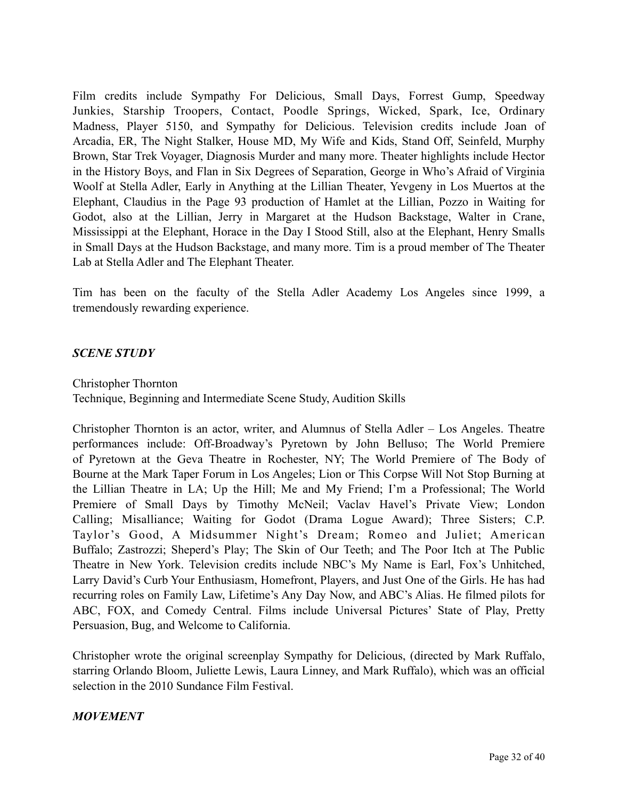Film credits include Sympathy For Delicious, Small Days, Forrest Gump, Speedway Junkies, Starship Troopers, Contact, Poodle Springs, Wicked, Spark, Ice, Ordinary Madness, Player 5150, and Sympathy for Delicious. Television credits include Joan of Arcadia, ER, The Night Stalker, House MD, My Wife and Kids, Stand Off, Seinfeld, Murphy Brown, Star Trek Voyager, Diagnosis Murder and many more. Theater highlights include Hector in the History Boys, and Flan in Six Degrees of Separation, George in Who's Afraid of Virginia Woolf at Stella Adler, Early in Anything at the Lillian Theater, Yevgeny in Los Muertos at the Elephant, Claudius in the Page 93 production of Hamlet at the Lillian, Pozzo in Waiting for Godot, also at the Lillian, Jerry in Margaret at the Hudson Backstage, Walter in Crane, Mississippi at the Elephant, Horace in the Day I Stood Still, also at the Elephant, Henry Smalls in Small Days at the Hudson Backstage, and many more. Tim is a proud member of The Theater Lab at Stella Adler and The Elephant Theater.

Tim has been on the faculty of the Stella Adler Academy Los Angeles since 1999, a tremendously rewarding experience.

#### *SCENE STUDY*

Christopher Thornton

Technique, Beginning and Intermediate Scene Study, Audition Skills

Christopher Thornton is an actor, writer, and Alumnus of Stella Adler – Los Angeles. Theatre performances include: Off-Broadway's Pyretown by John Belluso; The World Premiere of Pyretown at the Geva Theatre in Rochester, NY; The World Premiere of The Body of Bourne at the Mark Taper Forum in Los Angeles; Lion or This Corpse Will Not Stop Burning at the Lillian Theatre in LA; Up the Hill; Me and My Friend; I'm a Professional; The World Premiere of Small Days by Timothy McNeil; Vaclav Havel's Private View; London Calling; Misalliance; Waiting for Godot (Drama Logue Award); Three Sisters; C.P. Taylor's Good, A Midsummer Night's Dream; Romeo and Juliet; American Buffalo; Zastrozzi; Sheperd's Play; The Skin of Our Teeth; and The Poor Itch at The Public Theatre in New York. Television credits include NBC's My Name is Earl, Fox's Unhitched, Larry David's Curb Your Enthusiasm, Homefront, Players, and Just One of the Girls. He has had recurring roles on Family Law, Lifetime's Any Day Now, and ABC's Alias. He filmed pilots for ABC, FOX, and Comedy Central. Films include Universal Pictures' State of Play, Pretty Persuasion, Bug, and Welcome to California.

Christopher wrote the original screenplay Sympathy for Delicious, (directed by Mark Ruffalo, starring Orlando Bloom, Juliette Lewis, Laura Linney, and Mark Ruffalo), which was an official selection in the 2010 Sundance Film Festival.

#### *MOVEMENT*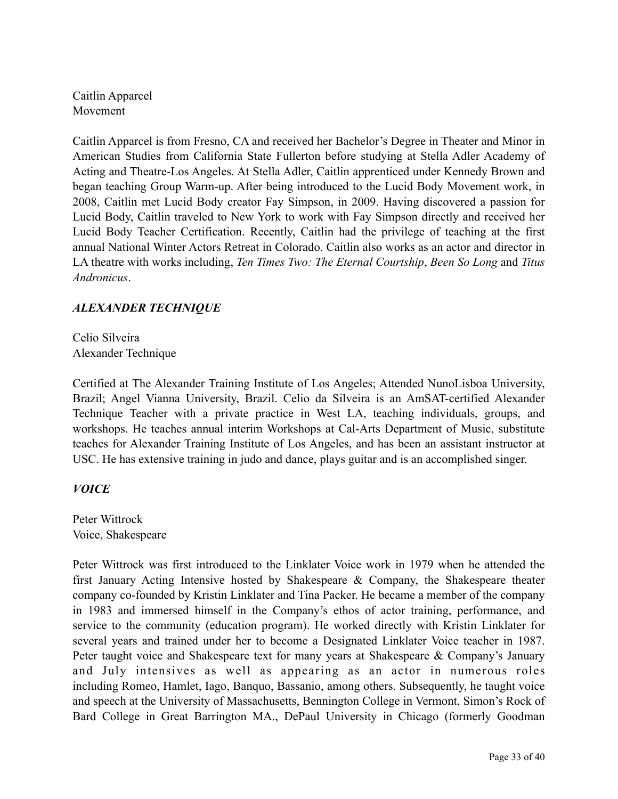Caitlin Apparcel Movement

Caitlin Apparcel is from Fresno, CA and received her Bachelor's Degree in Theater and Minor in American Studies from California State Fullerton before studying at Stella Adler Academy of Acting and Theatre-Los Angeles. At Stella Adler, Caitlin apprenticed under Kennedy Brown and began teaching Group Warm-up. After being introduced to the Lucid Body Movement work, in 2008, Caitlin met Lucid Body creator Fay Simpson, in 2009. Having discovered a passion for Lucid Body, Caitlin traveled to New York to work with Fay Simpson directly and received her Lucid Body Teacher Certification. Recently, Caitlin had the privilege of teaching at the first annual National Winter Actors Retreat in Colorado. Caitlin also works as an actor and director in LA theatre with works including, *Ten Times Two: The Eternal Courtship*, *Been So Long* and *Titus Andronicus*.

#### *ALEXANDER TECHNIQUE*

Celio Silveira Alexander Technique

Certified at The Alexander Training Institute of Los Angeles; Attended NunoLisboa University, Brazil; Angel Vianna University, Brazil. Celio da Silveira is an AmSAT-certified Alexander Technique Teacher with a private practice in West LA, teaching individuals, groups, and workshops. He teaches annual interim Workshops at Cal-Arts Department of Music, substitute teaches for Alexander Training Institute of Los Angeles, and has been an assistant instructor at USC. He has extensive training in judo and dance, plays guitar and is an accomplished singer.

#### *VOICE*

Peter Wittrock Voice, Shakespeare

Peter Wittrock was first introduced to the Linklater Voice work in 1979 when he attended the first January Acting Intensive hosted by Shakespeare & Company, the Shakespeare theater company co-founded by Kristin Linklater and Tina Packer. He became a member of the company in 1983 and immersed himself in the Company's ethos of actor training, performance, and service to the community (education program). He worked directly with Kristin Linklater for several years and trained under her to become a Designated Linklater Voice teacher in 1987. Peter taught voice and Shakespeare text for many years at Shakespeare & Company's January and July intensives as well as appearing as an actor in numerous roles including Romeo, Hamlet, Iago, Banquo, Bassanio, among others. Subsequently, he taught voice and speech at the University of Massachusetts, Bennington College in Vermont, Simon's Rock of Bard College in Great Barrington MA., DePaul University in Chicago (formerly Goodman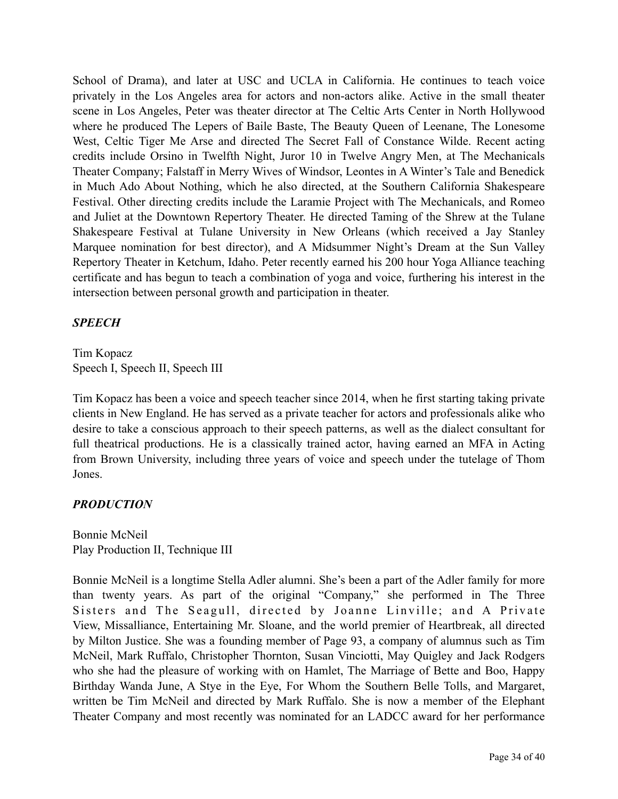School of Drama), and later at USC and UCLA in California. He continues to teach voice privately in the Los Angeles area for actors and non-actors alike. Active in the small theater scene in Los Angeles, Peter was theater director at The Celtic Arts Center in North Hollywood where he produced The Lepers of Baile Baste, The Beauty Queen of Leenane, The Lonesome West, Celtic Tiger Me Arse and directed The Secret Fall of Constance Wilde. Recent acting credits include Orsino in Twelfth Night, Juror 10 in Twelve Angry Men, at The Mechanicals Theater Company; Falstaff in Merry Wives of Windsor, Leontes in A Winter's Tale and Benedick in Much Ado About Nothing, which he also directed, at the Southern California Shakespeare Festival. Other directing credits include the Laramie Project with The Mechanicals, and Romeo and Juliet at the Downtown Repertory Theater. He directed Taming of the Shrew at the Tulane Shakespeare Festival at Tulane University in New Orleans (which received a Jay Stanley Marquee nomination for best director), and A Midsummer Night's Dream at the Sun Valley Repertory Theater in Ketchum, Idaho. Peter recently earned his 200 hour Yoga Alliance teaching certificate and has begun to teach a combination of yoga and voice, furthering his interest in the intersection between personal growth and participation in theater.

#### *SPEECH*

Tim Kopacz Speech I, Speech II, Speech III

Tim Kopacz has been a voice and speech teacher since 2014, when he first starting taking private clients in New England. He has served as a private teacher for actors and professionals alike who desire to take a conscious approach to their speech patterns, as well as the dialect consultant for full theatrical productions. He is a classically trained actor, having earned an MFA in Acting from Brown University, including three years of voice and speech under the tutelage of Thom Jones.

#### *PRODUCTION*

Bonnie McNeil Play Production II, Technique III

Bonnie McNeil is a longtime Stella Adler alumni. She's been a part of the Adler family for more than twenty years. As part of the original "Company," she performed in The Three Sisters and The Seagull, directed by Joanne Linville; and A Private View, Missalliance, Entertaining Mr. Sloane, and the world premier of Heartbreak, all directed by Milton Justice. She was a founding member of Page 93, a company of alumnus such as Tim McNeil, Mark Ruffalo, Christopher Thornton, Susan Vinciotti, May Quigley and Jack Rodgers who she had the pleasure of working with on Hamlet, The Marriage of Bette and Boo, Happy Birthday Wanda June, A Stye in the Eye, For Whom the Southern Belle Tolls, and Margaret, written be Tim McNeil and directed by Mark Ruffalo. She is now a member of the Elephant Theater Company and most recently was nominated for an LADCC award for her performance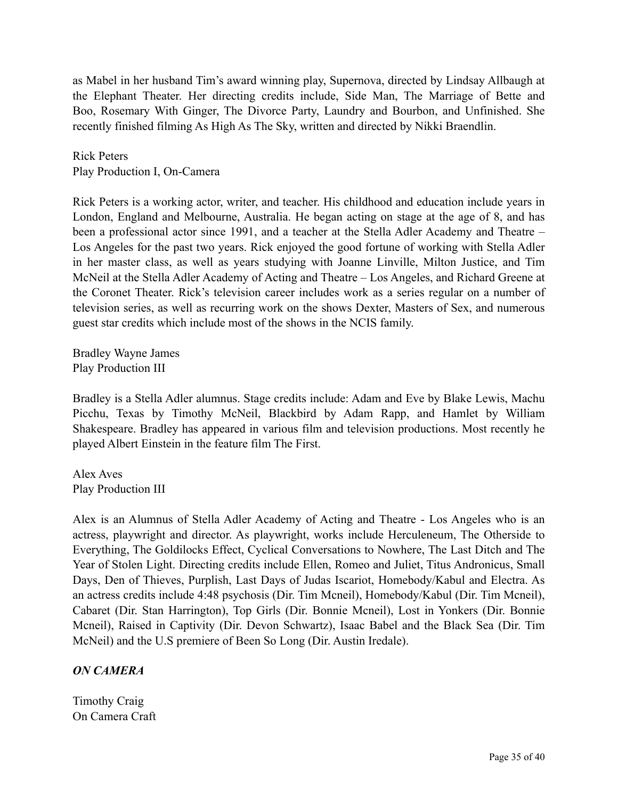as Mabel in her husband Tim's award winning play, Supernova, directed by Lindsay Allbaugh at the Elephant Theater. Her directing credits include, Side Man, The Marriage of Bette and Boo, Rosemary With Ginger, The Divorce Party, Laundry and Bourbon, and Unfinished. She recently finished filming As High As The Sky, written and directed by Nikki Braendlin.

Rick Peters Play Production I, On-Camera

Rick Peters is a working actor, writer, and teacher. His childhood and education include years in London, England and Melbourne, Australia. He began acting on stage at the age of 8, and has been a professional actor since 1991, and a teacher at the Stella Adler Academy and Theatre – Los Angeles for the past two years. Rick enjoyed the good fortune of working with Stella Adler in her master class, as well as years studying with Joanne Linville, Milton Justice, and Tim McNeil at the Stella Adler Academy of Acting and Theatre – Los Angeles, and Richard Greene at the Coronet Theater. Rick's television career includes work as a series regular on a number of television series, as well as recurring work on the shows Dexter, Masters of Sex, and numerous guest star credits which include most of the shows in the NCIS family.

Bradley Wayne James Play Production III

Bradley is a Stella Adler alumnus. Stage credits include: Adam and Eve by Blake Lewis, Machu Picchu, Texas by Timothy McNeil, Blackbird by Adam Rapp, and Hamlet by William Shakespeare. Bradley has appeared in various film and television productions. Most recently he played Albert Einstein in the feature film The First.

Alex Aves Play Production III

Alex is an Alumnus of Stella Adler Academy of Acting and Theatre - Los Angeles who is an actress, playwright and director. As playwright, works include Herculeneum, The Otherside to Everything, The Goldilocks Effect, Cyclical Conversations to Nowhere, The Last Ditch and The Year of Stolen Light. Directing credits include Ellen, Romeo and Juliet, Titus Andronicus, Small Days, Den of Thieves, Purplish, Last Days of Judas Iscariot, Homebody/Kabul and Electra. As an actress credits include 4:48 psychosis (Dir. Tim Mcneil), Homebody/Kabul (Dir. Tim Mcneil), Cabaret (Dir. Stan Harrington), Top Girls (Dir. Bonnie Mcneil), Lost in Yonkers (Dir. Bonnie Mcneil), Raised in Captivity (Dir. Devon Schwartz), Isaac Babel and the Black Sea (Dir. Tim McNeil) and the U.S premiere of Been So Long (Dir. Austin Iredale).

#### *ON CAMERA*

Timothy Craig On Camera Craft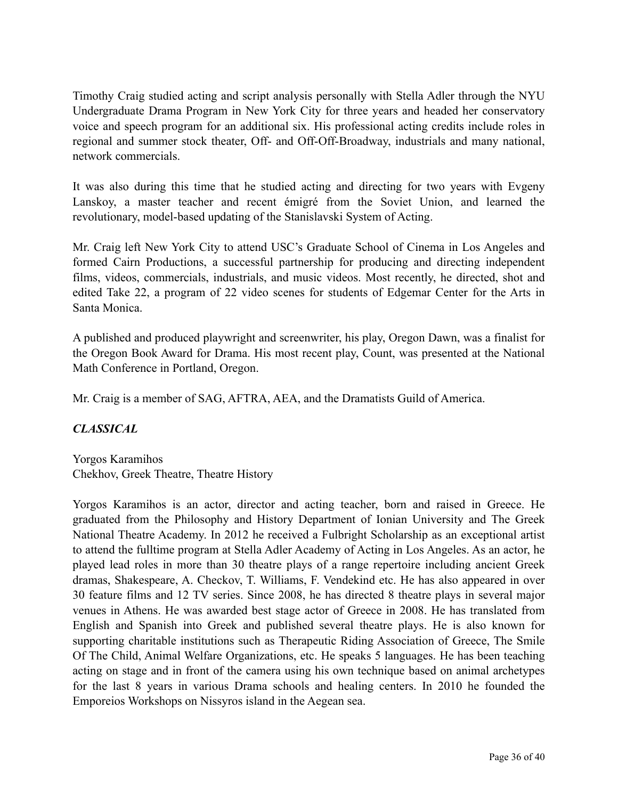Timothy Craig studied acting and script analysis personally with Stella Adler through the NYU Undergraduate Drama Program in New York City for three years and headed her conservatory voice and speech program for an additional six. His professional acting credits include roles in regional and summer stock theater, Off- and Off-Off-Broadway, industrials and many national, network commercials.

It was also during this time that he studied acting and directing for two years with Evgeny Lanskoy, a master teacher and recent émigré from the Soviet Union, and learned the revolutionary, model-based updating of the Stanislavski System of Acting.

Mr. Craig left New York City to attend USC's Graduate School of Cinema in Los Angeles and formed Cairn Productions, a successful partnership for producing and directing independent films, videos, commercials, industrials, and music videos. Most recently, he directed, shot and edited Take 22, a program of 22 video scenes for students of Edgemar Center for the Arts in Santa Monica.

A published and produced playwright and screenwriter, his play, Oregon Dawn, was a finalist for the Oregon Book Award for Drama. His most recent play, Count, was presented at the National Math Conference in Portland, Oregon.

Mr. Craig is a member of SAG, AFTRA, AEA, and the Dramatists Guild of America.

#### *CLASSICAL*

Yorgos Karamihos Chekhov, Greek Theatre, Theatre History

Yorgos Karamihos is an actor, director and acting teacher, born and raised in Greece. He graduated from the Philosophy and History Department of Ionian University and The Greek National Theatre Academy. In 2012 he received a Fulbright Scholarship as an exceptional artist to attend the fulltime program at Stella Adler Academy of Acting in Los Angeles. As an actor, he played lead roles in more than 30 theatre plays of a range repertoire including ancient Greek dramas, Shakespeare, A. Checkov, T. Williams, F. Vendekind etc. He has also appeared in over 30 feature films and 12 TV series. Since 2008, he has directed 8 theatre plays in several major venues in Athens. He was awarded best stage actor of Greece in 2008. He has translated from English and Spanish into Greek and published several theatre plays. He is also known for supporting charitable institutions such as Therapeutic Riding Association of Greece, The Smile Of The Child, Animal Welfare Organizations, etc. He speaks 5 languages. He has been teaching acting on stage and in front of the camera using his own technique based on animal archetypes for the last 8 years in various Drama schools and healing centers. In 2010 he founded the Emporeios Workshops on Nissyros island in the Aegean sea.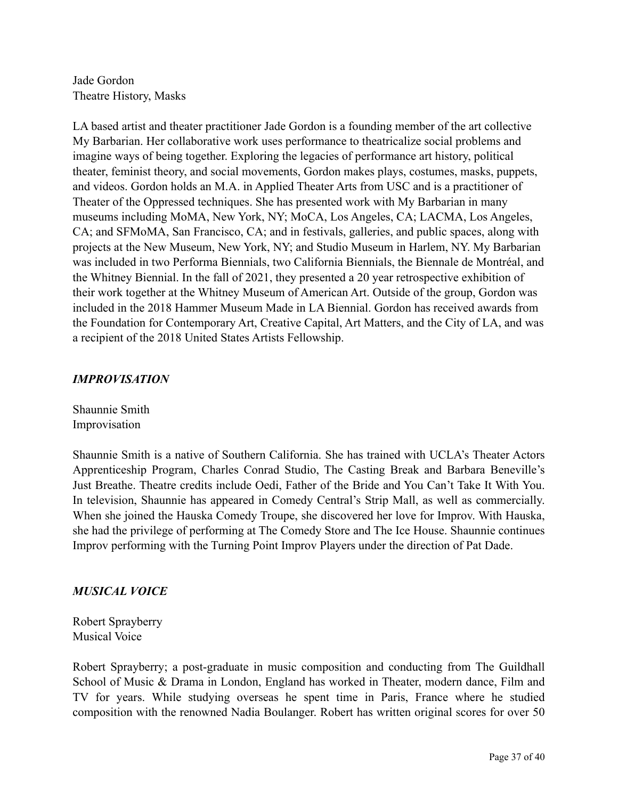Jade Gordon Theatre History, Masks

LA based artist and theater practitioner Jade Gordon is a founding member of the art collective My Barbarian. Her collaborative work uses performance to theatricalize social problems and imagine ways of being together. Exploring the legacies of performance art history, political theater, feminist theory, and social movements, Gordon makes plays, costumes, masks, puppets, and videos. Gordon holds an M.A. in Applied Theater Arts from USC and is a practitioner of Theater of the Oppressed techniques. She has presented work with My Barbarian in many museums including MoMA, New York, NY; MoCA, Los Angeles, CA; LACMA, Los Angeles, CA; and SFMoMA, San Francisco, CA; and in festivals, galleries, and public spaces, along with projects at the New Museum, New York, NY; and Studio Museum in Harlem, NY. My Barbarian was included in two Performa Biennials, two California Biennials, the Biennale de Montréal, and the Whitney Biennial. In the fall of 2021, they presented a 20 year retrospective exhibition of their work together at the Whitney Museum of American Art. Outside of the group, Gordon was included in the 2018 Hammer Museum Made in LA Biennial. Gordon has received awards from the Foundation for Contemporary Art, Creative Capital, Art Matters, and the City of LA, and was a recipient of the 2018 United States Artists Fellowship.

#### *IMPROVISATION*

Shaunnie Smith Improvisation

Shaunnie Smith is a native of Southern California. She has trained with UCLA's Theater Actors Apprenticeship Program, Charles Conrad Studio, The Casting Break and Barbara Beneville's Just Breathe. Theatre credits include Oedi, Father of the Bride and You Can't Take It With You. In television, Shaunnie has appeared in Comedy Central's Strip Mall, as well as commercially. When she joined the Hauska Comedy Troupe, she discovered her love for Improv. With Hauska, she had the privilege of performing at The Comedy Store and The Ice House. Shaunnie continues Improv performing with the Turning Point Improv Players under the direction of Pat Dade.

#### *MUSICAL VOICE*

Robert Sprayberry Musical Voice

Robert Sprayberry; a post-graduate in music composition and conducting from The Guildhall School of Music & Drama in London, England has worked in Theater, modern dance, Film and TV for years. While studying overseas he spent time in Paris, France where he studied composition with the renowned Nadia Boulanger. Robert has written original scores for over 50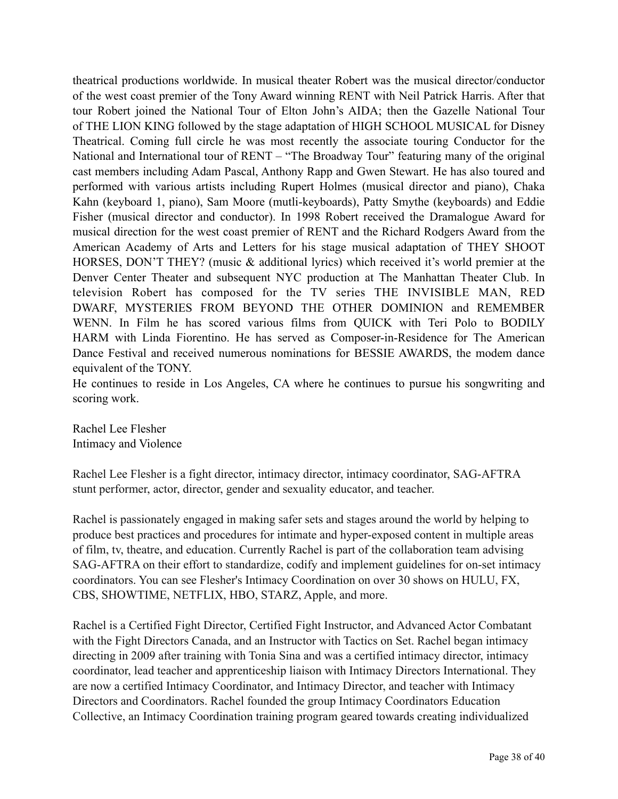theatrical productions worldwide. In musical theater Robert was the musical director/conductor of the west coast premier of the Tony Award winning RENT with Neil Patrick Harris. After that tour Robert joined the National Tour of Elton John's AIDA; then the Gazelle National Tour of THE LION KING followed by the stage adaptation of HIGH SCHOOL MUSICAL for Disney Theatrical. Coming full circle he was most recently the associate touring Conductor for the National and International tour of RENT – "The Broadway Tour" featuring many of the original cast members including Adam Pascal, Anthony Rapp and Gwen Stewart. He has also toured and performed with various artists including Rupert Holmes (musical director and piano), Chaka Kahn (keyboard 1, piano), Sam Moore (mutli-keyboards), Patty Smythe (keyboards) and Eddie Fisher (musical director and conductor). In 1998 Robert received the Dramalogue Award for musical direction for the west coast premier of RENT and the Richard Rodgers Award from the American Academy of Arts and Letters for his stage musical adaptation of THEY SHOOT HORSES, DON'T THEY? (music & additional lyrics) which received it's world premier at the Denver Center Theater and subsequent NYC production at The Manhattan Theater Club. In television Robert has composed for the TV series THE INVISIBLE MAN, RED DWARF, MYSTERIES FROM BEYOND THE OTHER DOMINION and REMEMBER WENN. In Film he has scored various films from QUICK with Teri Polo to BODILY HARM with Linda Fiorentino. He has served as Composer-in-Residence for The American Dance Festival and received numerous nominations for BESSIE AWARDS, the modem dance equivalent of the TONY.

He continues to reside in Los Angeles, CA where he continues to pursue his songwriting and scoring work.

Rachel Lee Flesher Intimacy and Violence

Rachel Lee Flesher is a fight director, intimacy director, intimacy coordinator, SAG-AFTRA stunt performer, actor, director, gender and sexuality educator, and teacher.

Rachel is passionately engaged in making safer sets and stages around the world by helping to produce best practices and procedures for intimate and hyper-exposed content in multiple areas of film, tv, theatre, and education. Currently Rachel is part of the collaboration team advising SAG-AFTRA on their effort to standardize, codify and implement guidelines for on-set intimacy coordinators. You can see Flesher's Intimacy Coordination on over 30 shows on HULU, FX, CBS, SHOWTIME, NETFLIX, HBO, STARZ, Apple, and more.

Rachel is a Certified Fight Director, Certified Fight Instructor, and Advanced Actor Combatant with the Fight Directors Canada, and an Instructor with Tactics on Set. Rachel began intimacy directing in 2009 after training with Tonia Sina and was a certified intimacy director, intimacy coordinator, lead teacher and apprenticeship liaison with Intimacy Directors International. They are now a certified Intimacy Coordinator, and Intimacy Director, and teacher with Intimacy Directors and Coordinators. Rachel founded the group Intimacy Coordinators Education Collective, an Intimacy Coordination training program geared towards creating individualized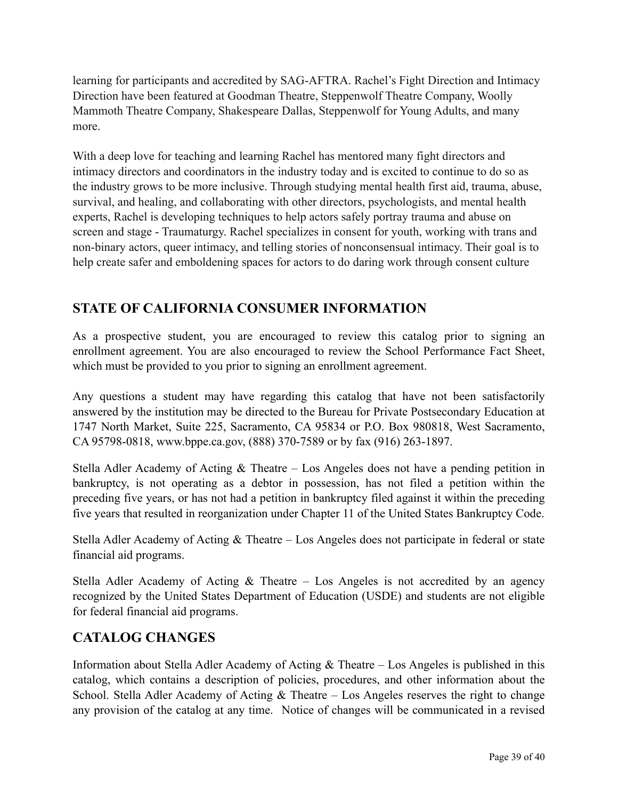learning for participants and accredited by SAG-AFTRA. Rachel's Fight Direction and Intimacy Direction have been featured at Goodman Theatre, Steppenwolf Theatre Company, Woolly Mammoth Theatre Company, Shakespeare Dallas, Steppenwolf for Young Adults, and many more.

With a deep love for teaching and learning Rachel has mentored many fight directors and intimacy directors and coordinators in the industry today and is excited to continue to do so as the industry grows to be more inclusive. Through studying mental health first aid, trauma, abuse, survival, and healing, and collaborating with other directors, psychologists, and mental health experts, Rachel is developing techniques to help actors safely portray trauma and abuse on screen and stage - Traumaturgy. Rachel specializes in consent for youth, working with trans and non-binary actors, queer intimacy, and telling stories of nonconsensual intimacy. Their goal is to help create safer and emboldening spaces for actors to do daring work through consent culture

## **STATE OF CALIFORNIA CONSUMER INFORMATION**

As a prospective student, you are encouraged to review this catalog prior to signing an enrollment agreement. You are also encouraged to review the School Performance Fact Sheet, which must be provided to you prior to signing an enrollment agreement.

Any questions a student may have regarding this catalog that have not been satisfactorily answered by the institution may be directed to the Bureau for Private Postsecondary Education at 1747 North Market, Suite 225, Sacramento, CA 95834 or P.O. Box 980818, West Sacramento, CA 95798-0818, www.bppe.ca.gov, (888) 370-7589 or by fax (916) 263-1897.

Stella Adler Academy of Acting & Theatre – Los Angeles does not have a pending petition in bankruptcy, is not operating as a debtor in possession, has not filed a petition within the preceding five years, or has not had a petition in bankruptcy filed against it within the preceding five years that resulted in reorganization under Chapter 11 of the United States Bankruptcy Code.

Stella Adler Academy of Acting & Theatre – Los Angeles does not participate in federal or state financial aid programs.

Stella Adler Academy of Acting & Theatre – Los Angeles is not accredited by an agency recognized by the United States Department of Education (USDE) and students are not eligible for federal financial aid programs.

## **CATALOG CHANGES**

Information about Stella Adler Academy of Acting & Theatre – Los Angeles is published in this catalog, which contains a description of policies, procedures, and other information about the School. Stella Adler Academy of Acting & Theatre – Los Angeles reserves the right to change any provision of the catalog at any time. Notice of changes will be communicated in a revised